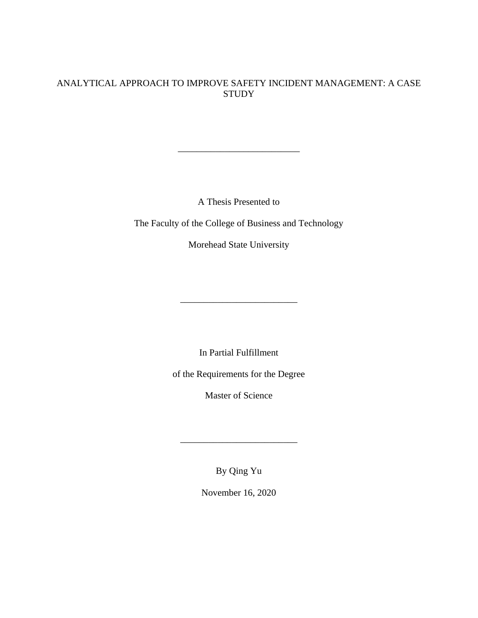# ANALYTICAL APPROACH TO IMPROVE SAFETY INCIDENT MANAGEMENT: A CASE **STUDY**

A Thesis Presented to

\_\_\_\_\_\_\_\_\_\_\_\_\_\_\_\_\_\_\_\_\_\_\_\_\_\_

The Faculty of the College of Business and Technology

Morehead State University

In Partial Fulfillment

\_\_\_\_\_\_\_\_\_\_\_\_\_\_\_\_\_\_\_\_\_\_\_\_\_

of the Requirements for the Degree

Master of Science

By Qing Yu

\_\_\_\_\_\_\_\_\_\_\_\_\_\_\_\_\_\_\_\_\_\_\_\_\_

November 16, 2020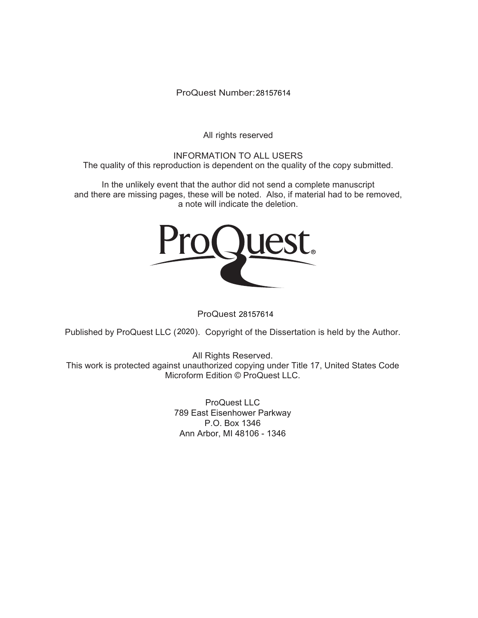ProQuest Number: 28157614

All rights reserved

INFORMATION TO ALL USERS The quality of this reproduction is dependent on the quality of the copy submitted.

In the unlikely event that the author did not send a complete manuscript and there are missing pages, these will be noted. Also, if material had to be removed, a note will indicate the deletion.



ProQuest 28157614

Published by ProQuest LLC (2020). Copyright of the Dissertation is held by the Author.

All Rights Reserved. This work is protected against unauthorized copying under Title 17, United States Code Microform Edition © ProQuest LLC.

> ProQuest LLC 789 East Eisenhower Parkway P.O. Box 1346 Ann Arbor, MI 48106 - 1346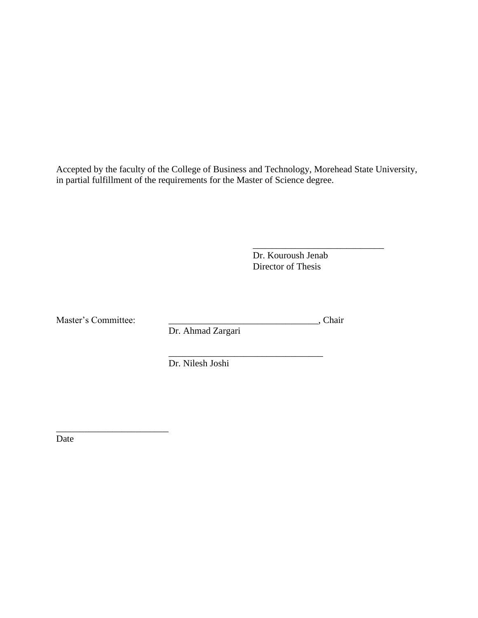Accepted by the faculty of the College of Business and Technology, Morehead State University, in partial fulfillment of the requirements for the Master of Science degree.

> \_\_\_\_\_\_\_\_\_\_\_\_\_\_\_\_\_\_\_\_\_\_\_\_\_\_\_\_ Dr. Kouroush Jenab Director of Thesis

Master's Committee: \_\_\_\_\_\_\_\_\_\_\_\_\_\_\_\_\_\_\_\_\_\_\_\_\_\_\_\_\_\_\_\_, Chair

\_\_\_\_\_\_\_\_\_\_\_\_\_\_\_\_\_\_\_\_\_\_\_\_

Dr. Ahmad Zargari

\_\_\_\_\_\_\_\_\_\_\_\_\_\_\_\_\_\_\_\_\_\_\_\_\_\_\_\_\_\_\_\_\_ Dr. Nilesh Joshi

Date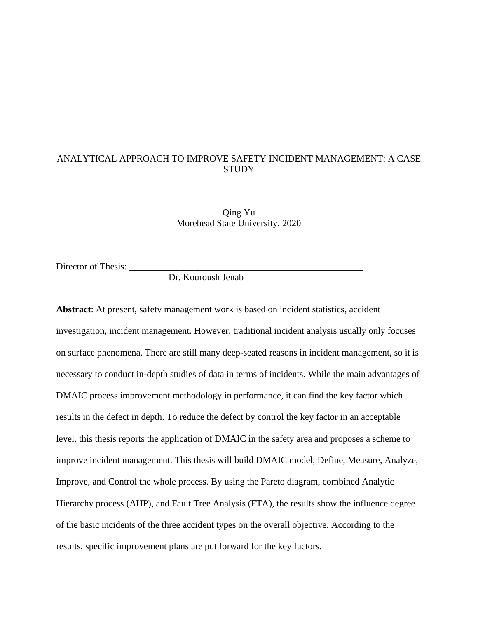# ANALYTICAL APPROACH TO IMPROVE SAFETY INCIDENT MANAGEMENT: A CASE **STUDY**

Qing Yu Morehead State University, 2020

Director of Thesis: \_\_\_\_\_\_\_\_\_\_\_\_\_\_\_\_\_\_\_\_\_\_\_\_\_\_\_\_\_\_\_\_\_\_\_\_\_\_\_\_\_\_\_\_\_\_\_\_\_\_

Dr. Kouroush Jenab

**Abstract**: At present, safety management work is based on incident statistics, accident investigation, incident management. However, traditional incident analysis usually only focuses on surface phenomena. There are still many deep-seated reasons in incident management, so it is necessary to conduct in-depth studies of data in terms of incidents. While the main advantages of DMAIC process improvement methodology in performance, it can find the key factor which results in the defect in depth. To reduce the defect by control the key factor in an acceptable level, this thesis reports the application of DMAIC in the safety area and proposes a scheme to improve incident management. This thesis will build DMAIC model, Define, Measure, Analyze, Improve, and Control the whole process. By using the Pareto diagram, combined Analytic Hierarchy process (AHP), and Fault Tree Analysis (FTA), the results show the influence degree of the basic incidents of the three accident types on the overall objective. According to the results, specific improvement plans are put forward for the key factors.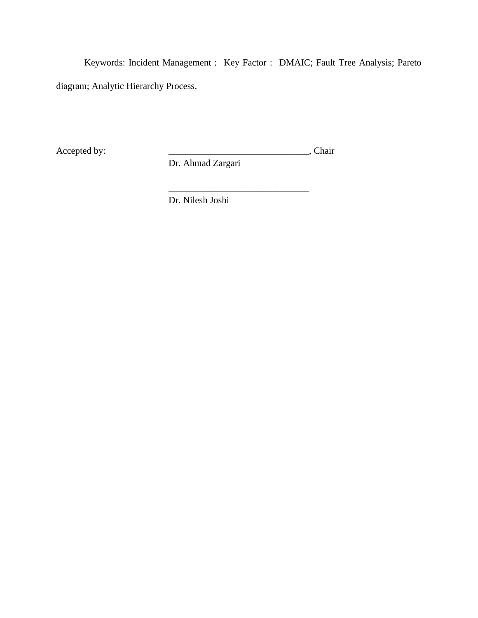Keywords: Incident Management; Key Factor; DMAIC; Fault Tree Analysis; Pareto diagram; Analytic Hierarchy Process.

\_\_\_\_\_\_\_\_\_\_\_\_\_\_\_\_\_\_\_\_\_\_\_\_\_\_\_\_\_\_

Accepted by: \_\_\_\_\_\_\_\_\_\_\_\_\_\_\_\_\_\_\_\_\_\_\_\_\_\_\_\_\_\_, Chair

Dr. Ahmad Zargari

Dr. Nilesh Joshi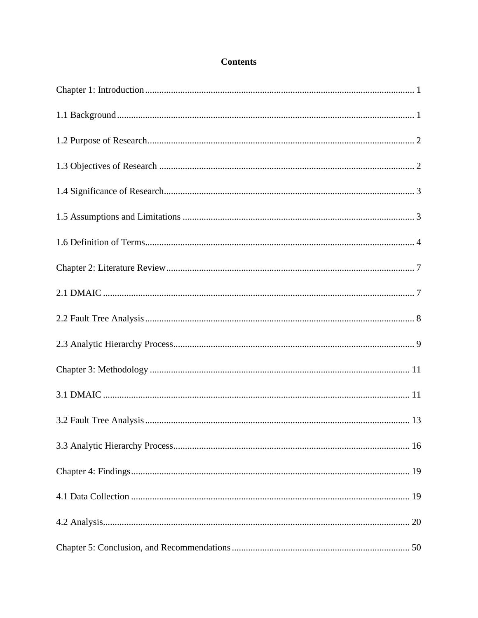# **Contents**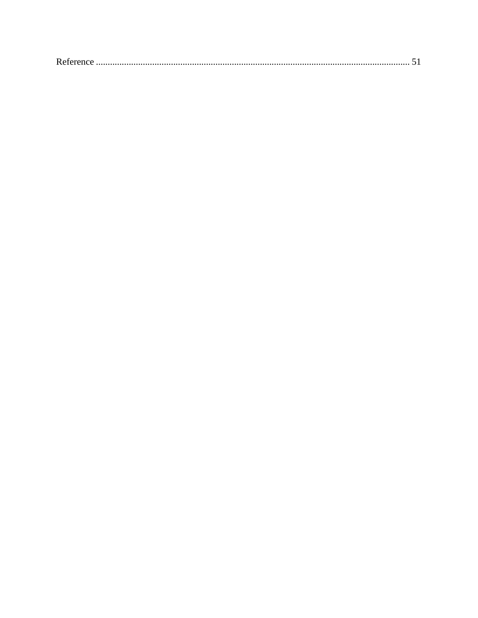|--|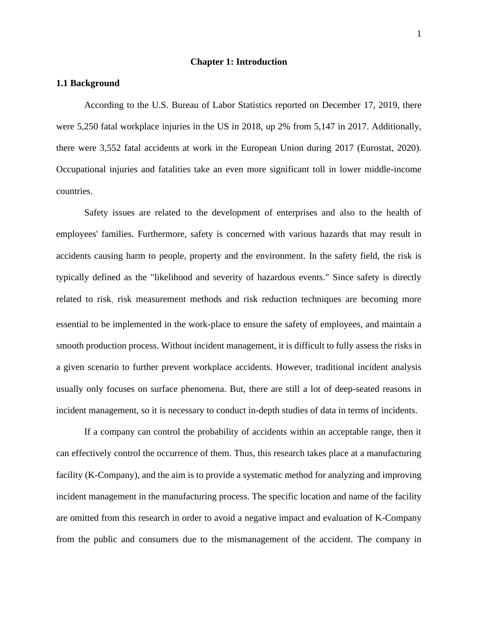#### **Chapter 1: Introduction**

### <span id="page-7-1"></span><span id="page-7-0"></span>**1.1 Background**

According to the U.S. Bureau of Labor Statistics reported on December 17, 2019, there were 5,250 fatal workplace injuries in the US in 2018, up 2% from 5,147 in 2017. Additionally, there were 3,552 fatal accidents at work in the European Union during 2017 (Eurostat, 2020). Occupational injuries and fatalities take an even more significant toll in lower middle-income countries.

Safety issues are related to the development of enterprises and also to the health of employees' families. Furthermore, safety is concerned with various hazards that may result in accidents causing harm to people, property and the environment. In the safety field, the risk is typically defined as the "likelihood and severity of hazardous events." Since safety is directly related to risk, risk measurement methods and risk reduction techniques are becoming more essential to be implemented in the work-place to ensure the safety of employees, and maintain a smooth production process. Without incident management, it is difficult to fully assess the risks in a given scenario to further prevent workplace accidents. However, traditional incident analysis usually only focuses on surface phenomena. But, there are still a lot of deep-seated reasons in incident management, so it is necessary to conduct in-depth studies of data in terms of incidents.

If a company can control the probability of accidents within an acceptable range, then it can effectively control the occurrence of them. Thus, this research takes place at a manufacturing facility (K-Company), and the aim is to provide a systematic method for analyzing and improving incident management in the manufacturing process. The specific location and name of the facility are omitted from this research in order to avoid a negative impact and evaluation of K-Company from the public and consumers due to the mismanagement of the accident. The company in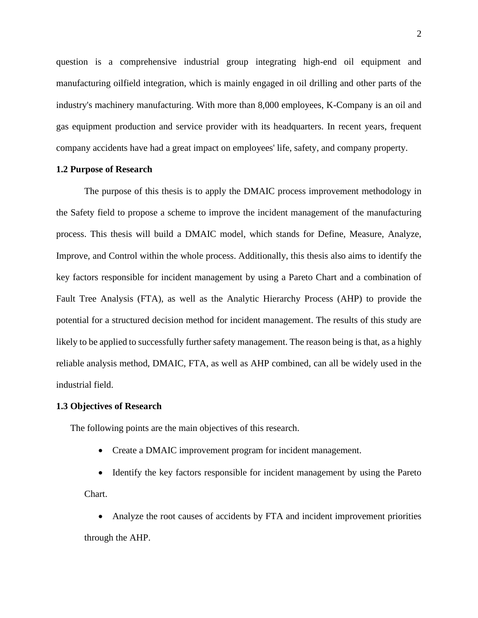question is a comprehensive industrial group integrating high-end oil equipment and manufacturing oilfield integration, which is mainly engaged in oil drilling and other parts of the industry's machinery manufacturing. With more than 8,000 employees, K-Company is an oil and gas equipment production and service provider with its headquarters. In recent years, frequent company accidents have had a great impact on employees' life, safety, and company property.

### <span id="page-8-0"></span>**1.2 Purpose of Research**

The purpose of this thesis is to apply the DMAIC process improvement methodology in the Safety field to propose a scheme to improve the incident management of the manufacturing process. This thesis will build a DMAIC model, which stands for Define, Measure, Analyze, Improve, and Control within the whole process. Additionally, this thesis also aims to identify the key factors responsible for [incident](https://www.bls.gov/iif/oshoiics.htm) management by using a Pareto Chart and a combination of Fault Tree Analysis (FTA), as well as the Analytic Hierarchy Process (AHP) to provide the potential for a structured decision method for incident management. The results of this study are likely to be applied to successfully further safety management. The reason being is that, as a highly reliable analysis method, DMAIC, FTA, as well as AHP combined, can all be widely used in the industrial field.

#### <span id="page-8-1"></span>**1.3 Objectives of Research**

The following points are the main objectives of this research.

• Create a DMAIC improvement program for [incident](https://www.bls.gov/iif/oshoiics.htm) management.

• Identify the key factors responsible for [incident](https://www.bls.gov/iif/oshoiics.htm) management by using the Pareto Chart.

• Analyze the root causes of accidents by FTA and incident improvement priorities through the AHP.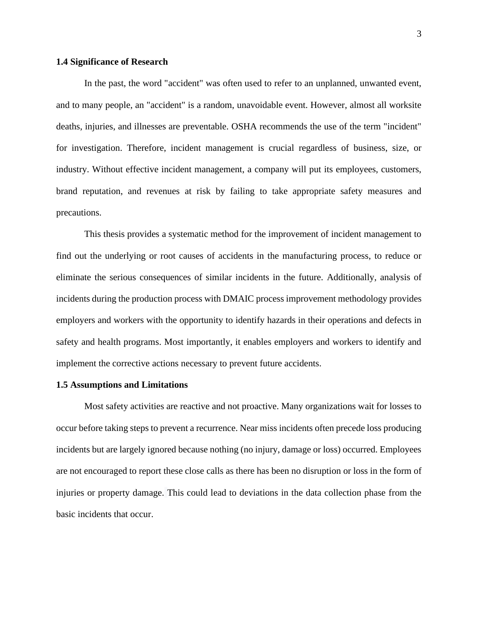## <span id="page-9-0"></span>**1.4 Significance of Research**

In the past, the word "accident" was often used to refer to an unplanned, unwanted event, and to many people, an "accident" is a random, unavoidable event. However, almost all worksite deaths, injuries, and illnesses are preventable. OSHA recommends the use of the term "incident" for investigation. Therefore, incident management is crucial regardless of business, size, or industry. Without effective incident management, a company will put its employees, customers, brand reputation, and revenues at risk by failing to take appropriate safety measures and precautions.

This thesis provides a systematic method for the improvement of incident management to find out the underlying or root causes of accidents in the manufacturing process, to reduce or eliminate the serious consequences of similar incidents in the future. Additionally, analysis of incidents during the production process with DMAIC process improvement methodology provides employers and workers with the opportunity to identify hazards in their operations and defects in safety and health programs. Most importantly, it enables employers and workers to identify and implement the corrective actions necessary to prevent future accidents.

#### <span id="page-9-1"></span>**1.5 Assumptions and Limitations**

Most safety activities are reactive and not proactive. Many organizations wait for losses to occur before taking steps to prevent a recurrence. Near miss incidents often precede loss producing incidents but are largely ignored because nothing (no injury, damage or loss) occurred. Employees are not encouraged to report these close calls as there has been no disruption or loss in the form of injuries or property damage. This could lead to deviations in the data collection phase from the basic incidents that occur.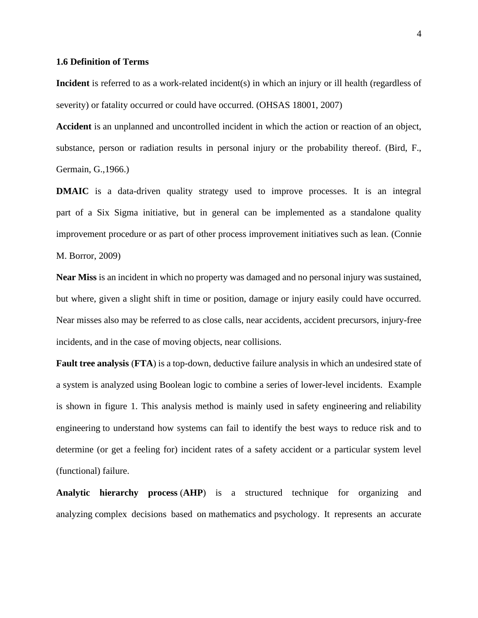#### <span id="page-10-0"></span>**1.6 Definition of Terms**

**Incident** is referred to as a work-related incident(s) in which an injury or ill health (regardless of severity) or fatality occurred or could have occurred. (OHSAS 18001, 2007)

**Accident** is an unplanned and uncontrolled incident in which the action or reaction of an object, substance, person or radiation results in personal injury or the probability thereof. (Bird, F., Germain, G.,1966.)

**DMAIC** is a data-driven quality strategy used to improve processes. It is an integral part of a Six Sigma initiative, but in general can be implemented as a standalone quality improvement procedure or as part of other process improvement initiatives such as lean. (Connie M. Borror, 2009)

**Near Miss** is an incident in which no property was damaged and no personal injury was sustained, but where, given a slight shift in time or position, damage or injury easily could have occurred. Near misses also may be referred to as close calls, near accidents, accident precursors, injury-free incidents, and in the case of moving objects, near collisions.

**Fault tree analysis** (**FTA**) is a top-down, [deductive](https://en.wikipedia.org/wiki/Deductive_reasoning) failure analysis in which an undesired state of a system is analyzed using [Boolean logic](https://en.wikipedia.org/wiki/Boolean_logic) to combine a series of lower-level incidents. Example is shown in figure 1. This analysis method is mainly used in [safety engineering](https://en.wikipedia.org/wiki/Safety_engineering) and [reliability](https://en.wikipedia.org/wiki/Reliability_engineering)  [engineering](https://en.wikipedia.org/wiki/Reliability_engineering) to understand how systems can fail to identify the best ways to reduce risk and to determine (or get a feeling for) incident rates of a safety accident or a particular system level (functional) failure.

**Analytic hierarchy process** (**AHP**) is a structured technique for organizing and analyzing [complex decisions](https://en.wikipedia.org/wiki/MCDA) based on [mathematics](https://en.wikipedia.org/wiki/Mathematics) and [psychology.](https://en.wikipedia.org/wiki/Psychology) It represents an accurate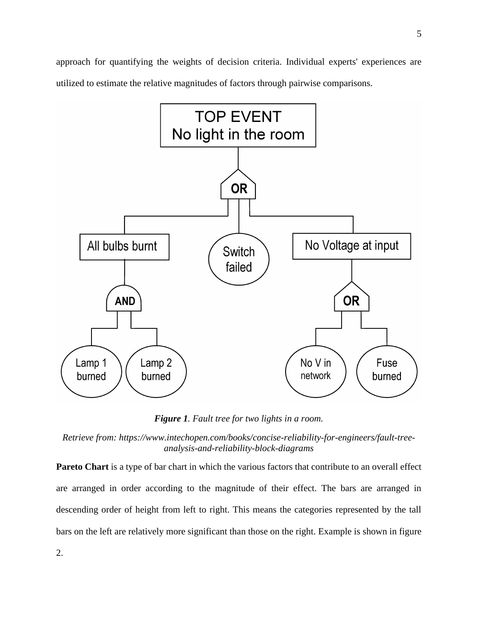approach for quantifying the weights of decision criteria. Individual experts' experiences are utilized to estimate the relative magnitudes of factors through pairwise comparisons.



*Figure 1. Fault tree for two lights in a room.*

*Retrieve from: https://www.intechopen.com/books/concise-reliability-for-engineers/fault-treeanalysis-and-reliability-block-diagrams*

**Pareto Chart** is a type of bar chart in which the various factors that contribute to an overall effect are arranged in order according to the magnitude of their effect. The bars are arranged in descending order of height from left to right. This means the categories represented by the tall bars on the left are relatively more significant than those on the right. Example is shown in figure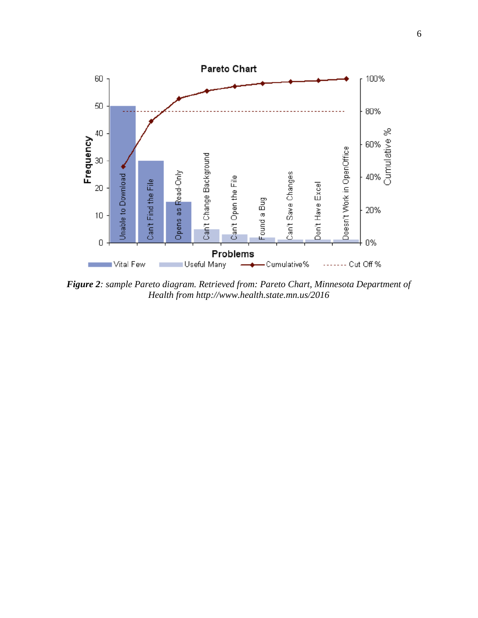

*Figure 2: sample Pareto diagram. Retrieved from: Pareto Chart, Minnesota Department of Health from http://www.health.state.mn.us/2016*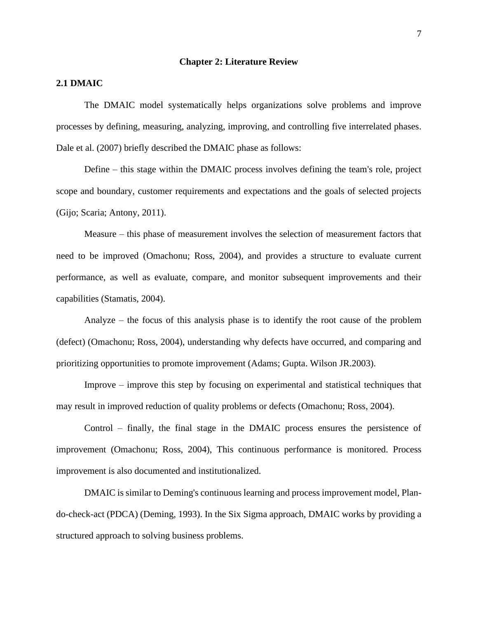#### **Chapter 2: Literature Review**

# <span id="page-13-1"></span><span id="page-13-0"></span>**2.1 DMAIC**

The DMAIC model systematically helps organizations solve problems and improve processes by defining, measuring, analyzing, improving, and controlling five interrelated phases. Dale et al. (2007) briefly described the DMAIC phase as follows:

Define – this stage within the DMAIC process involves defining the team's role, project scope and boundary, customer requirements and expectations and the goals of selected projects (Gijo; Scaria; Antony, 2011).

Measure – this phase of measurement involves the selection of measurement factors that need to be improved (Omachonu; Ross, 2004), and provides a structure to evaluate current performance, as well as evaluate, compare, and monitor subsequent improvements and their capabilities (Stamatis, 2004).

Analyze – the focus of this analysis phase is to identify the root cause of the problem (defect) (Omachonu; Ross, 2004), understanding why defects have occurred, and comparing and prioritizing opportunities to promote improvement (Adams; Gupta. Wilson JR.2003).

Improve – improve this step by focusing on experimental and statistical techniques that may result in improved reduction of quality problems or defects (Omachonu; Ross, 2004).

Control – finally, the final stage in the DMAIC process ensures the persistence of improvement (Omachonu; Ross, 2004), This continuous performance is monitored. Process improvement is also documented and institutionalized.

DMAIC is similar to Deming's continuous learning and process improvement model, Plando-check-act (PDCA) (Deming, 1993). In the Six Sigma approach, DMAIC works by providing a structured approach to solving business problems.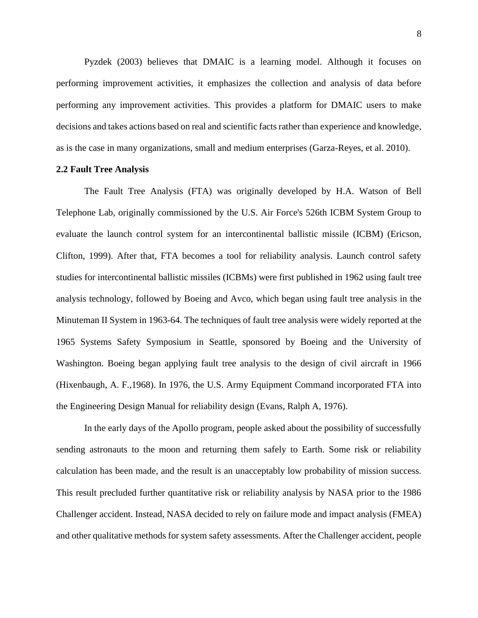Pyzdek (2003) believes that DMAIC is a learning model. Although it focuses on performing improvement activities, it emphasizes the collection and analysis of data before performing any improvement activities. This provides a platform for DMAIC users to make decisions and takes actions based on real and scientific facts rather than experience and knowledge, as is the case in many organizations, small and medium enterprises (Garza-Reyes, et al. 2010).

#### <span id="page-14-0"></span>**2.2 Fault Tree Analysis**

The Fault Tree Analysis (FTA) was originally developed by H.A. Watson of Bell Telephone Lab, originally commissioned by the U.S. Air Force's 526th ICBM System Group to evaluate the launch control system for an intercontinental ballistic missile (ICBM) (Ericson, Clifton, 1999). After that, FTA becomes a tool for reliability analysis. Launch control safety studies for intercontinental ballistic missiles (ICBMs) were first published in 1962 using fault tree analysis technology, followed by Boeing and Avco, which began using fault tree analysis in the Minuteman II System in 1963-64. The techniques of fault tree analysis were widely reported at the 1965 Systems Safety Symposium in Seattle, sponsored by Boeing and the University of Washington. Boeing began applying fault tree analysis to the design of civil aircraft in 1966 (Hixenbaugh, A. F.,1968). In 1976, the U.S. Army Equipment Command incorporated FTA into the Engineering Design Manual for reliability design (Evans, Ralph A, 1976).

In the early days of the Apollo program, people asked about the possibility of successfully sending astronauts to the moon and returning them safely to Earth. Some risk or reliability calculation has been made, and the result is an unacceptably low probability of mission success. This result precluded further quantitative risk or reliability analysis by NASA prior to the 1986 Challenger accident. Instead, NASA decided to rely on failure mode and impact analysis (FMEA) and other qualitative methods for system safety assessments. After the Challenger accident, people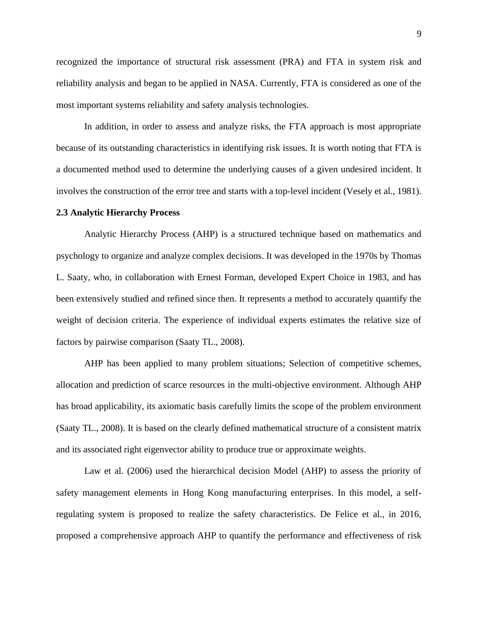recognized the importance of structural risk assessment (PRA) and FTA in system risk and reliability analysis and began to be applied in NASA. Currently, FTA is considered as one of the most important systems reliability and safety analysis technologies.

In addition, in order to assess and analyze risks, the FTA approach is most appropriate because of its outstanding characteristics in identifying risk issues. It is worth noting that FTA is a documented method used to determine the underlying causes of a given undesired incident. It involves the construction of the error tree and starts with a top-level incident (Vesely et al., 1981).

#### <span id="page-15-0"></span>**2.3 Analytic Hierarchy Process**

Analytic Hierarchy Process (AHP) is a structured technique based on mathematics and psychology to organize and analyze complex decisions. It was developed in the 1970s by Thomas L. Saaty, who, in collaboration with Ernest Forman, developed Expert Choice in 1983, and has been extensively studied and refined since then. It represents a method to accurately quantify the weight of decision criteria. The experience of individual experts estimates the relative size of factors by pairwise comparison (Saaty TL., 2008).

AHP has been applied to many problem situations; Selection of competitive schemes, allocation and prediction of scarce resources in the multi-objective environment. Although AHP has broad applicability, its axiomatic basis carefully limits the scope of the problem environment (Saaty TL., 2008). It is based on the clearly defined mathematical structure of a consistent matrix and its associated right eigenvector ability to produce true or approximate weights.

Law et al. (2006) used the hierarchical decision Model (AHP) to assess the priority of safety management elements in Hong Kong manufacturing enterprises. In this model, a selfregulating system is proposed to realize the safety characteristics. De Felice et al., in 2016, proposed a comprehensive approach AHP to quantify the performance and effectiveness of risk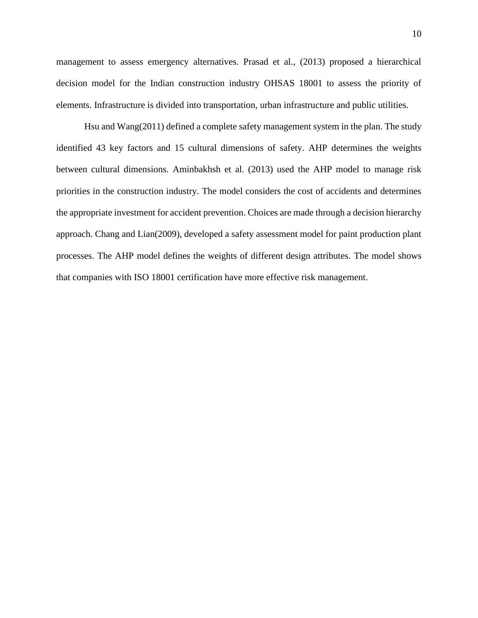management to assess emergency alternatives. Prasad et al., (2013) proposed a hierarchical decision model for the Indian construction industry OHSAS 18001 to assess the priority of elements. Infrastructure is divided into transportation, urban infrastructure and public utilities.

Hsu and Wang(2011) defined a complete safety management system in the plan. The study identified 43 key factors and 15 cultural dimensions of safety. AHP determines the weights between cultural dimensions. Aminbakhsh et al. (2013) used the AHP model to manage risk priorities in the construction industry. The model considers the cost of accidents and determines the appropriate investment for accident prevention. Choices are made through a decision hierarchy approach. Chang and Lian(2009), developed a safety assessment model for paint production plant processes. The AHP model defines the weights of different design attributes. The model shows that companies with ISO 18001 certification have more effective risk management.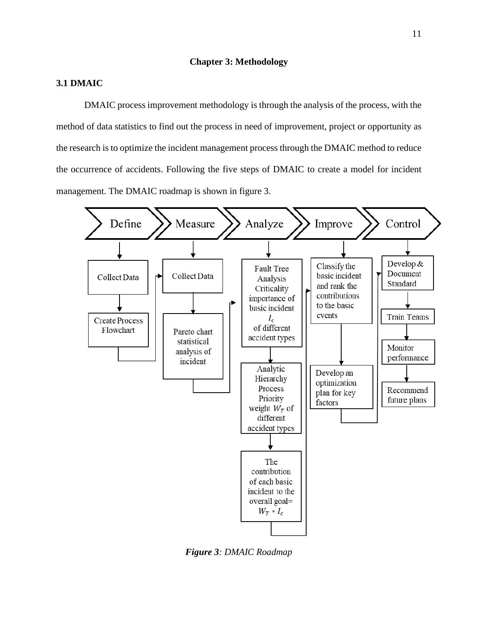## **Chapter 3: Methodology**

# <span id="page-17-1"></span><span id="page-17-0"></span>**3.1 DMAIC**

DMAIC process improvement methodology is through the analysis of the process, with the method of data statistics to find out the process in need of improvement, project or opportunity as the research is to optimize the incident management process through the DMAIC method to reduce the occurrence of accidents. Following the five steps of DMAIC to create a model for [incident](https://www.bls.gov/iif/oshoiics.htm) management. The DMAIC roadmap is shown in figure 3.



*Figure 3: DMAIC Roadmap*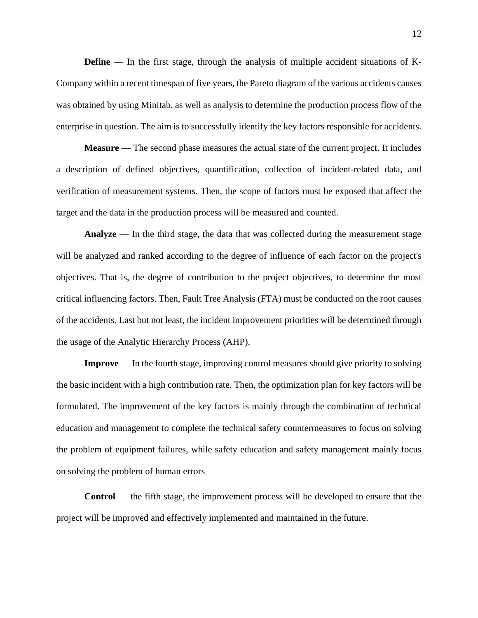**Define** — In the first stage, through the analysis of multiple accident situations of K-Company within a recent timespan of five years, the Pareto diagram of the various accidents causes was obtained by using Minitab, as well as analysis to determine the production process flow of the enterprise in question. The aim is to successfully identify the key factors responsible for accidents.

**Measure** — The second phase measures the actual state of the current project. It includes a description of defined objectives, quantification, collection of incident-related data, and verification of measurement systems. Then, the scope of factors must be exposed that affect the target and the data in the production process will be measured and counted.

**Analyze** — In the third stage, the data that was collected during the measurement stage will be analyzed and ranked according to the degree of influence of each factor on the project's objectives. That is, the degree of contribution to the project objectives, to determine the most critical influencing factors. Then, Fault Tree Analysis (FTA) must be conducted on the root causes of the accidents. Last but not least, the incident improvement priorities will be determined through the usage of the Analytic Hierarchy Process (AHP).

**Improve** — In the fourth stage, improving control measures should give priority to solving the basic incident with a high contribution rate. Then, the optimization plan for key factors will be formulated. The improvement of the key factors is mainly through the combination of technical education and management to complete the technical safety countermeasures to focus on solving the problem of equipment failures, while safety education and safety management mainly focus on solving the problem of human errors.

**Control** — the fifth stage, the improvement process will be developed to ensure that the project will be improved and effectively implemented and maintained in the future.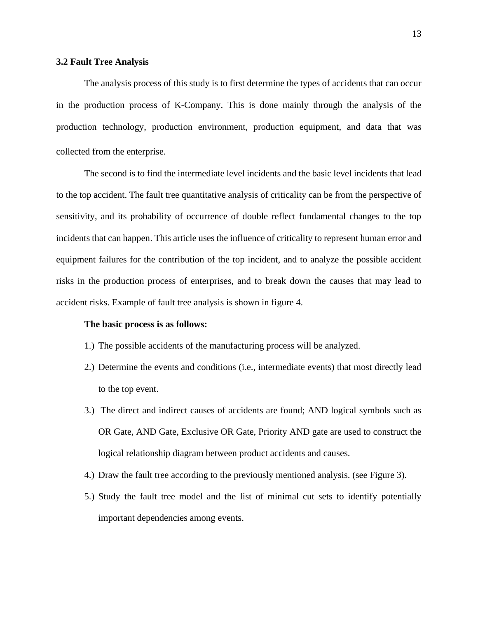#### <span id="page-19-0"></span>**3.2 Fault Tree Analysis**

The analysis process of this study is to first determine the types of accidents that can occur in the production process of K-Company. This is done mainly through the analysis of the production technology, production environment, production equipment, and data that was collected from the enterprise.

The second is to find the intermediate level incidents and the basic level incidents that lead to the top accident. The fault tree quantitative analysis of criticality can be from the perspective of sensitivity, and its probability of occurrence of double reflect fundamental changes to the top incidents that can happen. This article uses the influence of criticality to represent human error and equipment failures for the contribution of the top incident, and to analyze the possible accident risks in the production process of enterprises, and to break down the causes that may lead to accident risks. Example of fault tree analysis is shown in figure 4.

### **The basic process is as follows:**

- 1.) The possible accidents of the manufacturing process will be analyzed.
- 2.) Determine the events and conditions (i.e., intermediate events) that most directly lead to the top event.
- 3.) The direct and indirect causes of accidents are found; AND logical symbols such as OR Gate, AND Gate, Exclusive OR Gate, Priority AND gate are used to construct the logical relationship diagram between product accidents and causes.
- 4.) Draw the fault tree according to the previously mentioned analysis. (see Figure 3).
- 5.) Study the fault tree model and the list of minimal cut sets to identify potentially important dependencies among events.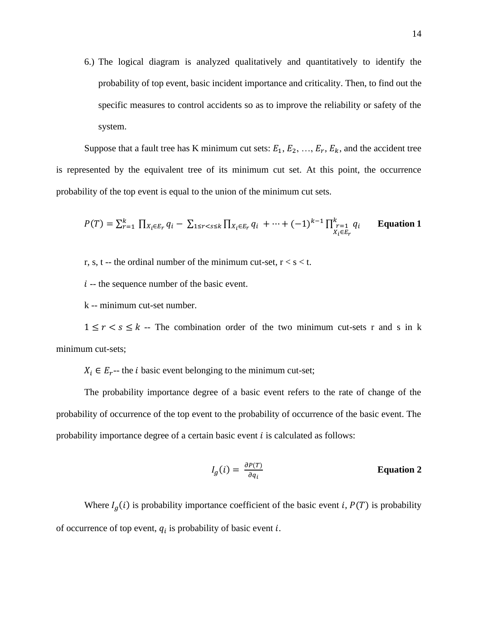6.) The logical diagram is analyzed qualitatively and quantitatively to identify the probability of top event, basic incident importance and criticality. Then, to find out the specific measures to control accidents so as to improve the reliability or safety of the system.

Suppose that a fault tree has K minimum cut sets:  $E_1, E_2, ..., E_r, E_k$ , and the accident tree is represented by the equivalent tree of its minimum cut set. At this point, the occurrence probability of the top event is equal to the union of the minimum cut sets.

$$
P(T) = \sum_{r=1}^{k} \prod_{X_i \in E_r} q_i - \sum_{1 \le r < s \le k} \prod_{X_i \in E_r} q_i + \dots + (-1)^{k-1} \prod_{\substack{r=1 \\ X_i \in E_r}}^k q_i
$$
 Equation 1

r, s, t -- the ordinal number of the minimum cut-set,  $r < s < t$ .

 $i$  -- the sequence number of the basic event.

k -- minimum cut-set number.

 $1 \le r < s \le k$  -- The combination order of the two minimum cut-sets r and s in k minimum cut-sets;

 $X_i \in E_r$ -- the *i* basic event belonging to the minimum cut-set;

The probability importance degree of a basic event refers to the rate of change of the probability of occurrence of the top event to the probability of occurrence of the basic event. The probability importance degree of a certain basic event  $i$  is calculated as follows:

$$
I_g(i) = \frac{\partial P(T)}{\partial q_i}
$$
 Equation 2

Where  $I_g(i)$  is probability importance coefficient of the basic event *i*,  $P(T)$  is probability of occurrence of top event,  $q_i$  is probability of basic event  $i$ .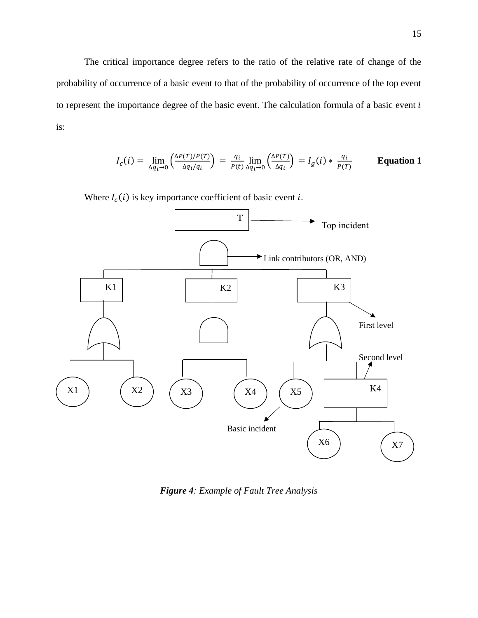The critical importance degree refers to the ratio of the relative rate of change of the probability of occurrence of a basic event to that of the probability of occurrence of the top event to represent the importance degree of the basic event. The calculation formula of a basic event  $i$ is:

$$
I_c(i) = \lim_{\Delta q_i \to 0} \left( \frac{\Delta P(T)/P(T)}{\Delta q_i/q_i} \right) = \frac{q_i}{P(t)} \lim_{\Delta q_i \to 0} \left( \frac{\Delta P(T)}{\Delta q_i} \right) = I_g(i) * \frac{q_i}{P(T)}
$$
 Equation 1

Where  $I_c(i)$  is key importance coefficient of basic event *i*.



*Figure 4: Example of Fault Tree Analysis*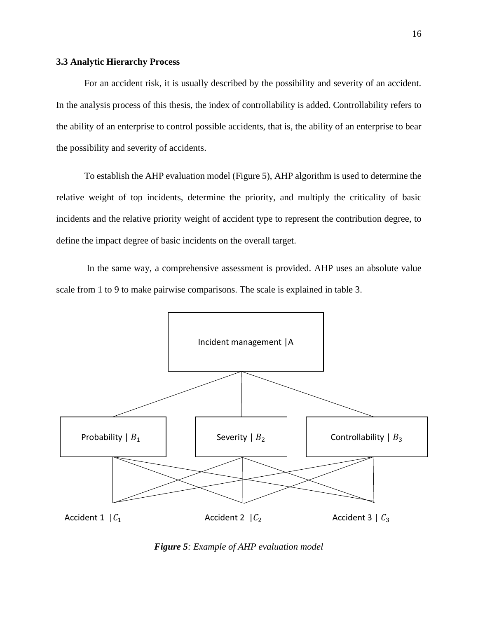## <span id="page-22-0"></span>**3.3 Analytic Hierarchy Process**

For an accident risk, it is usually described by the possibility and severity of an accident. In the analysis process of this thesis, the index of controllability is added. Controllability refers to the ability of an enterprise to control possible accidents, that is, the ability of an enterprise to bear the possibility and severity of accidents.

To establish the AHP evaluation model (Figure 5), AHP algorithm is used to determine the relative weight of top incidents, determine the priority, and multiply the criticality of basic incidents and the relative priority weight of accident type to represent the contribution degree, to define the impact degree of basic incidents on the overall target.

In the same way, a comprehensive assessment is provided. AHP uses an absolute value scale from 1 to 9 to make pairwise comparisons. The scale is explained in table 3.



*Figure 5: Example of AHP evaluation model*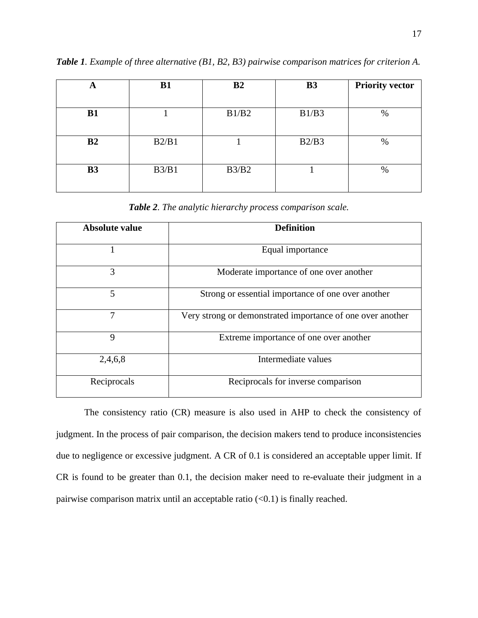| A              | <b>B1</b> | B <sub>2</sub> | <b>B3</b> | <b>Priority vector</b> |
|----------------|-----------|----------------|-----------|------------------------|
|                |           |                |           |                        |
| B1             |           | B1/B2          | B1/B3     | %                      |
|                |           |                |           |                        |
| B <sub>2</sub> | B2/B1     |                | B2/B3     | $\%$                   |
|                |           |                |           |                        |
| <b>B3</b>      | B3/B1     | B3/B2          |           | %                      |
|                |           |                |           |                        |

*Table 1. Example of three alternative (B1, B2, B3) pairwise comparison matrices for criterion A.*

*Table 2. The analytic hierarchy process comparison scale.*

| Absolute value | <b>Definition</b>                                          |
|----------------|------------------------------------------------------------|
|                | Equal importance                                           |
| 3              | Moderate importance of one over another                    |
| 5              | Strong or essential importance of one over another         |
| 7              | Very strong or demonstrated importance of one over another |
| 9              | Extreme importance of one over another                     |
| 2,4,6,8        | Intermediate values                                        |
| Reciprocals    | Reciprocals for inverse comparison                         |

The consistency ratio (CR) measure is also used in AHP to check the consistency of judgment. In the process of pair comparison, the decision makers tend to produce inconsistencies due to negligence or excessive judgment. A CR of 0.1 is considered an acceptable upper limit. If CR is found to be greater than 0.1, the decision maker need to re-evaluate their judgment in a pairwise comparison matrix until an acceptable ratio  $(<0.1$ ) is finally reached.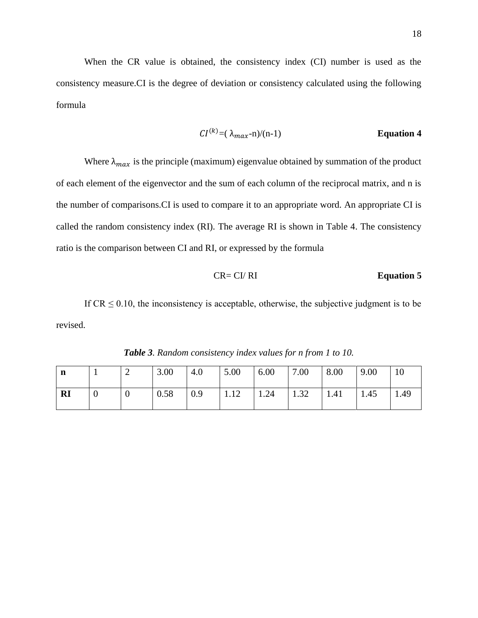When the CR value is obtained, the consistency index (CI) number is used as the consistency measure.CI is the degree of deviation or consistency calculated using the following formula

$$
CI^{(k)} = (\lambda_{max} - n)/(n-1)
$$
 **Equation 4**

Where  $\lambda_{max}$  is the principle (maximum) eigenvalue obtained by summation of the product of each element of the eigenvector and the sum of each column of the reciprocal matrix, and n is the number of comparisons.CI is used to compare it to an appropriate word. An appropriate CI is called the random consistency index (RI). The average RI is shown in Table 4. The consistency ratio is the comparison between CI and RI, or expressed by the formula

$$
CR = CI / RI
$$
 **Equation 5**

If  $CR \leq 0.10$ , the inconsistency is acceptable, otherwise, the subjective judgment is to be revised.

| n  |          | ∠        | 3.00 | 4.0 | 5.00 | 6.00         | 7.00         | 8.00 | 9.00 | 10   |
|----|----------|----------|------|-----|------|--------------|--------------|------|------|------|
| RI | $\theta$ | <b>U</b> | 0.58 | 0.9 | 1.12 | $\vert$ 1.24 | $\vert$ 1.32 | 1.41 | 1.45 | 1.49 |

*Table 3. Random consistency index values for n from 1 to 10.*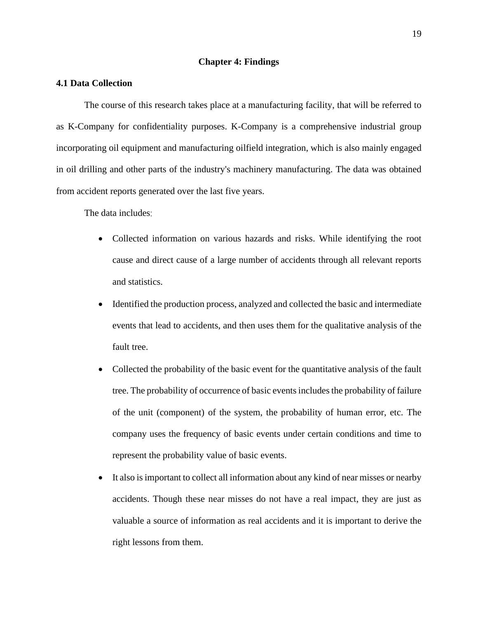## **Chapter 4: Findings**

# <span id="page-25-1"></span><span id="page-25-0"></span>**4.1 Data Collection**

The course of this research takes place at a manufacturing facility, that will be referred to as K-Company for confidentiality purposes. K-Company is a comprehensive industrial group incorporating oil equipment and manufacturing oilfield integration, which is also mainly engaged in oil drilling and other parts of the industry's machinery manufacturing. The data was obtained from accident reports generated over the last five years.

The data includes:

- Collected information on various hazards and risks. While identifying the root cause and direct cause of a large number of accidents through all relevant reports and statistics.
- Identified the production process, analyzed and collected the basic and intermediate events that lead to accidents, and then uses them for the qualitative analysis of the fault tree.
- Collected the probability of the basic event for the quantitative analysis of the fault tree. The probability of occurrence of basic events includes the probability of failure of the unit (component) of the system, the probability of human error, etc. The company uses the frequency of basic events under certain conditions and time to represent the probability value of basic events.
- It also is important to collect all information about any kind of near misses or nearby accidents. Though these near misses do not have a real impact, they are just as valuable a source of information as real accidents and it is important to derive the right lessons from them.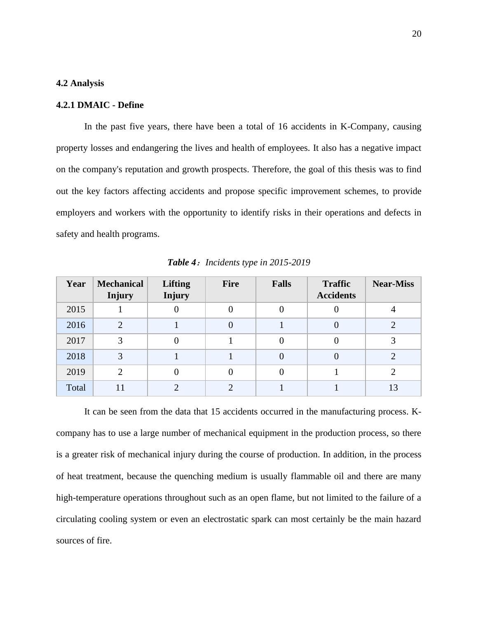### <span id="page-26-0"></span>**4.2 Analysis**

### **4.2.1 DMAIC - Define**

In the past five years, there have been a total of 16 accidents in K-Company, causing property losses and endangering the lives and health of employees. It also has a negative impact on the company's reputation and growth prospects. Therefore, the goal of this thesis was to find out the key factors affecting accidents and propose specific improvement schemes, to provide employers and workers with the opportunity to identify risks in their operations and defects in safety and health programs.

| Year  | <b>Mechanical</b><br><b>Injury</b> | <b>Lifting</b><br><b>Injury</b> | <b>Fire</b> | <b>Falls</b> | <b>Traffic</b><br><b>Accidents</b> | <b>Near-Miss</b> |
|-------|------------------------------------|---------------------------------|-------------|--------------|------------------------------------|------------------|
| 2015  |                                    | 0                               |             |              |                                    |                  |
| 2016  | $\overline{2}$                     |                                 |             |              |                                    |                  |
| 2017  |                                    | 0                               |             | 0            |                                    |                  |
| 2018  | ⌒                                  |                                 |             |              |                                    |                  |
| 2019  | $\mathcal{D}_{\mathcal{L}}$        | 0                               |             |              |                                    |                  |
| Total |                                    | ◠                               |             |              |                                    | 13               |

*Table 4*:*Incidents type in 2015-2019*

It can be seen from the data that 15 accidents occurred in the manufacturing process. Kcompany has to use a large number of mechanical equipment in the production process, so there is a greater risk of mechanical injury during the course of production. In addition, in the process of heat treatment, because the quenching medium is usually flammable oil and there are many high-temperature operations throughout such as an open flame, but not limited to the failure of a circulating cooling system or even an electrostatic spark can most certainly be the main hazard sources of fire.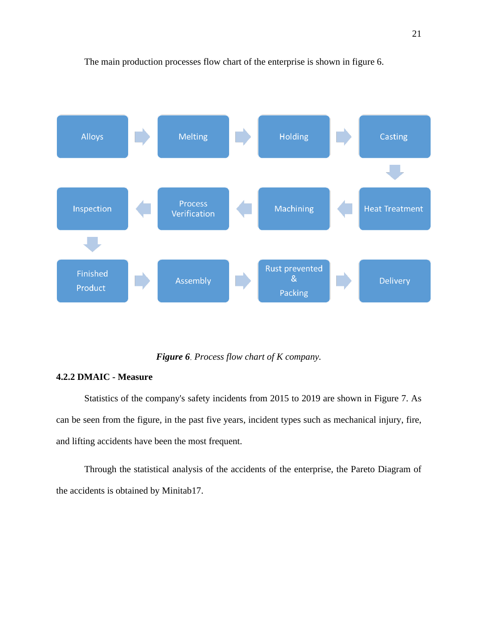

The main production processes flow chart of the enterprise is shown in figure 6.

*Figure 6*. *Process flow chart of K company.*

# **4.2.2 DMAIC - Measure**

Statistics of the company's safety incidents from 2015 to 2019 are shown in Figure 7. As can be seen from the figure, in the past five years, incident types such as mechanical injury, fire, and lifting accidents have been the most frequent.

Through the statistical analysis of the accidents of the enterprise, the Pareto Diagram of the accidents is obtained by Minitab17.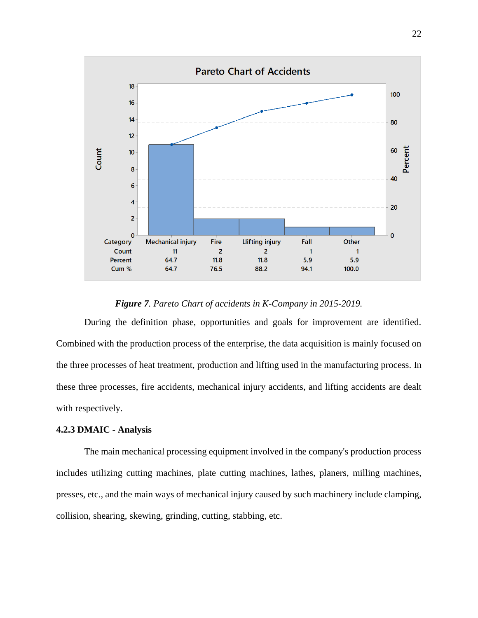

*Figure 7. Pareto Chart of accidents in K-Company in 2015-2019.*

During the definition phase, opportunities and goals for improvement are identified. Combined with the production process of the enterprise, the data acquisition is mainly focused on the three processes of heat treatment, production and lifting used in the manufacturing process. In these three processes, fire accidents, mechanical injury accidents, and lifting accidents are dealt with respectively.

# **4.2.3 DMAIC - Analysis**

The main mechanical processing equipment involved in the company's production process includes utilizing cutting machines, plate cutting machines, lathes, planers, milling machines, presses, etc., and the main ways of mechanical injury caused by such machinery include clamping, collision, shearing, skewing, grinding, cutting, stabbing, etc.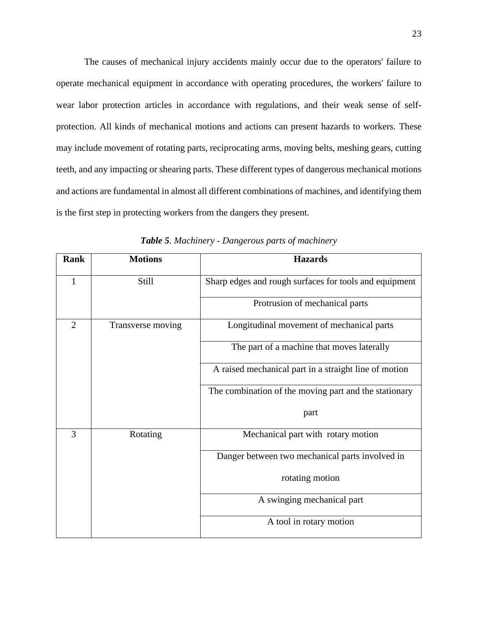The causes of mechanical injury accidents mainly occur due to the operators' failure to operate mechanical equipment in accordance with operating procedures, the workers' failure to wear labor protection articles in accordance with regulations, and their weak sense of selfprotection. All kinds of mechanical motions and actions can present hazards to workers. These may include movement of rotating parts, reciprocating arms, moving belts, meshing gears, cutting teeth, and any impacting or shearing parts. These different types of dangerous mechanical motions and actions are fundamental in almost all different combinations of machines, and identifying them is the first step in protecting workers from the dangers they present.

| Rank           | <b>Motions</b>    | <b>Hazards</b>                                         |
|----------------|-------------------|--------------------------------------------------------|
| 1              | Still             | Sharp edges and rough surfaces for tools and equipment |
|                |                   | Protrusion of mechanical parts                         |
| $\overline{2}$ | Transverse moving | Longitudinal movement of mechanical parts              |
|                |                   | The part of a machine that moves laterally             |
|                |                   | A raised mechanical part in a straight line of motion  |
|                |                   | The combination of the moving part and the stationary  |
|                |                   | part                                                   |
| 3              | Rotating          | Mechanical part with rotary motion                     |
|                |                   | Danger between two mechanical parts involved in        |
|                |                   | rotating motion                                        |
|                |                   | A swinging mechanical part                             |
|                |                   | A tool in rotary motion                                |

*Table 5. Machinery - Dangerous parts of machinery*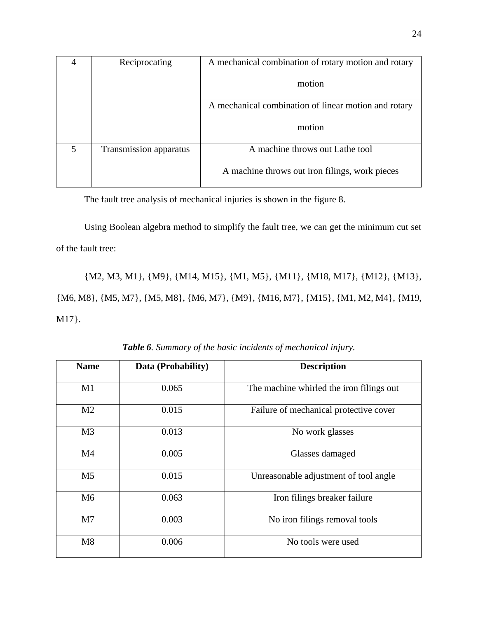|   | Reciprocating          | A mechanical combination of rotary motion and rotary |
|---|------------------------|------------------------------------------------------|
|   |                        | motion                                               |
|   |                        | A mechanical combination of linear motion and rotary |
|   |                        | motion                                               |
| 5 | Transmission apparatus | A machine throws out Lathe tool                      |
|   |                        | A machine throws out iron filings, work pieces       |

The fault tree analysis of mechanical injuries is shown in the figure 8.

Using Boolean algebra method to simplify the fault tree, we can get the minimum cut set of the fault tree:

{M2, M3, M1}, {M9}, {M14, M15}, {M1, M5}, {M11}, {M18, M17}, {M12}, {M13}, {M6, M8}, {M5, M7}, {M5, M8}, {M6, M7}, {M9}, {M16, M7}, {M15}, {M1, M2, M4}, {M19, M17}.

| <b>Name</b>    | Data (Probability) | <b>Description</b>                       |
|----------------|--------------------|------------------------------------------|
| M1             | 0.065              | The machine whirled the iron filings out |
| M <sub>2</sub> | 0.015              | Failure of mechanical protective cover   |
| M <sub>3</sub> | 0.013              | No work glasses                          |
| M <sub>4</sub> | 0.005              | Glasses damaged                          |
| M <sub>5</sub> | 0.015              | Unreasonable adjustment of tool angle    |
| M6             | 0.063              | Iron filings breaker failure             |
| M <sub>7</sub> | 0.003              | No iron filings removal tools            |
| M8             | 0.006              | No tools were used                       |

*Table 6. Summary of the basic incidents of mechanical injury.*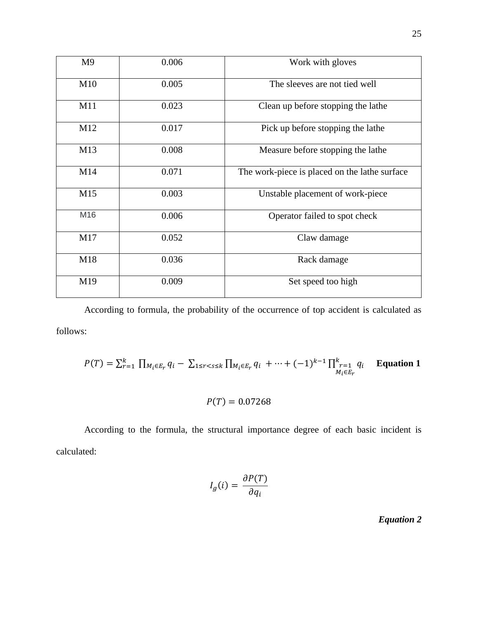| M <sub>9</sub> | 0.006 | Work with gloves                              |
|----------------|-------|-----------------------------------------------|
| M10            | 0.005 | The sleeves are not tied well                 |
| M11            | 0.023 | Clean up before stopping the lathe            |
| M12            | 0.017 | Pick up before stopping the lathe             |
| M13            | 0.008 | Measure before stopping the lathe             |
| M14            | 0.071 | The work-piece is placed on the lathe surface |
| M15            | 0.003 | Unstable placement of work-piece              |
| M16            | 0.006 | Operator failed to spot check                 |
| M17            | 0.052 | Claw damage                                   |
| M18            | 0.036 | Rack damage                                   |
| M19            | 0.009 | Set speed too high                            |

According to formula, the probability of the occurrence of top accident is calculated as follows:

$$
P(T) = \sum_{r=1}^{k} \prod_{M_i \in E_r} q_i - \sum_{1 \leq r < s \leq k} \prod_{M_i \in E_r} q_i + \dots + (-1)^{k-1} \prod_{\substack{r=1 \\ M_i \in E_r}}^{k} q_i
$$
 Equation 1

 $P(T) = 0.07268$ 

According to the formula, the structural importance degree of each basic incident is calculated:

$$
I_g(i) = \frac{\partial P(T)}{\partial q_i}
$$

*Equation 2*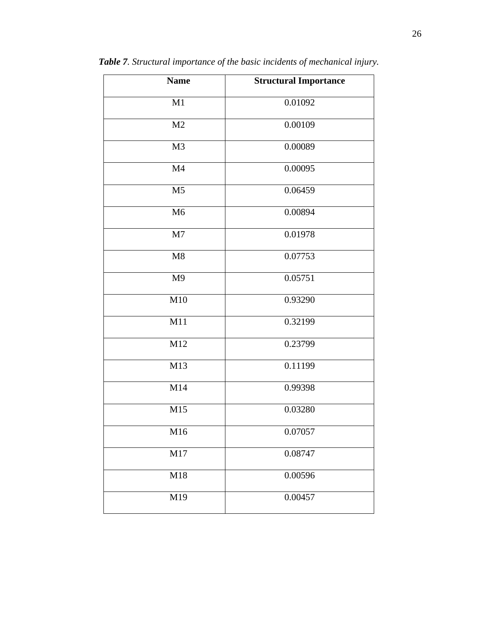| <b>Name</b>    | <b>Structural Importance</b> |
|----------------|------------------------------|
| M1             | 0.01092                      |
| M2             | 0.00109                      |
| M <sub>3</sub> | 0.00089                      |
| M <sub>4</sub> | 0.00095                      |
| M <sub>5</sub> | 0.06459                      |
| M <sub>6</sub> | 0.00894                      |
| M7             | 0.01978                      |
| M8             | 0.07753                      |
| M <sub>9</sub> | 0.05751                      |
| M10            | 0.93290                      |
| M11            | 0.32199                      |
| M12            | 0.23799                      |
| M13            | 0.11199                      |
| M14            | 0.99398                      |
| M15            | 0.03280                      |
| M16            | 0.07057                      |
| M17            | 0.08747                      |
| M18            | 0.00596                      |
| M19            | 0.00457                      |

*Table 7. Structural importance of the basic incidents of mechanical injury.*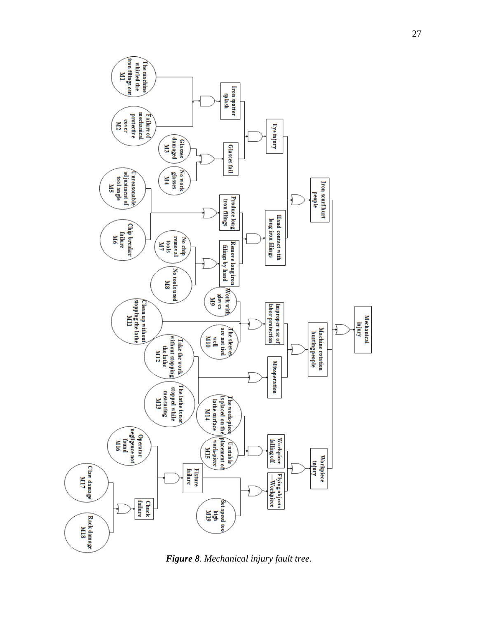

*Figure 8. Mechanical injury fault tree.*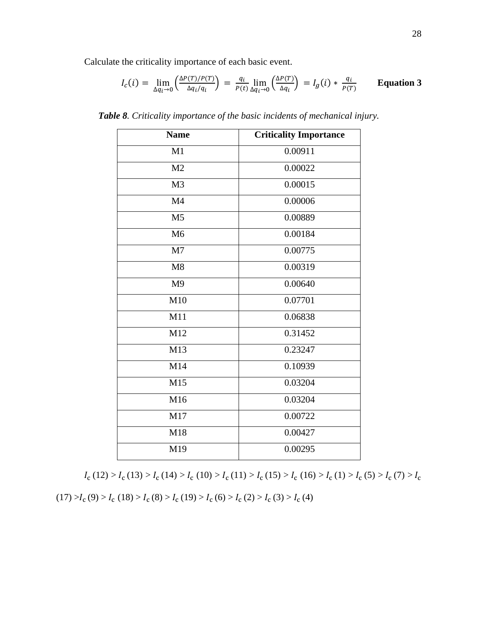Calculate the criticality importance of each basic event.

$$
I_c(i) = \lim_{\Delta q_i \to 0} \left( \frac{\Delta P(T)/P(T)}{\Delta q_i/q_i} \right) = \frac{q_i}{P(t)} \lim_{\Delta q_i \to 0} \left( \frac{\Delta P(T)}{\Delta q_i} \right) = I_g(i) * \frac{q_i}{P(T)} \qquad \text{Equation 3}
$$

| <b>Name</b>    | <b>Criticality Importance</b> |
|----------------|-------------------------------|
| M1             | 0.00911                       |
| M <sub>2</sub> | 0.00022                       |
| M <sub>3</sub> | 0.00015                       |
| M <sub>4</sub> | 0.00006                       |
| M <sub>5</sub> | 0.00889                       |
| M <sub>6</sub> | 0.00184                       |
| M <sub>7</sub> | 0.00775                       |
| M8             | 0.00319                       |
| M <sub>9</sub> | 0.00640                       |
| M10            | 0.07701                       |
| M11            | 0.06838                       |
| M12            | 0.31452                       |
| M13            | 0.23247                       |
| M14            | 0.10939                       |
| M15            | 0.03204                       |
| M16            | 0.03204                       |
| M17            | 0.00722                       |
| M18            | 0.00427                       |
| M19            | 0.00295                       |

*Table 8. Criticality importance of the basic incidents of mechanical injury.*

 $I_c(12) > I_c(13) > I_c(14) > I_c(10) > I_c(11) > I_c(15) > I_c(16) > I_c(1) > I_c(5) > I_c(7) > I_c$ 

 $(17) > I_c (9) > I_c (18) > I_c (8) > I_c (19) > I_c (6) > I_c (2) > I_c (3) > I_c (4)$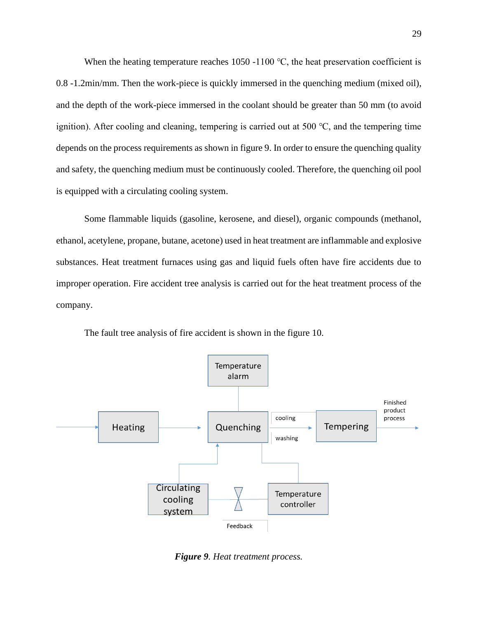When the heating temperature reaches 1050 -1100  $\degree$ C, the heat preservation coefficient is 0.8 -1.2min/mm. Then the work-piece is quickly immersed in the quenching medium (mixed oil), and the depth of the work-piece immersed in the coolant should be greater than 50 mm (to avoid ignition). After cooling and cleaning, tempering is carried out at 500 ℃, and the tempering time depends on the process requirements as shown in figure 9. In order to ensure the quenching quality and safety, the quenching medium must be continuously cooled. Therefore, the quenching oil pool is equipped with a circulating cooling system.

Some flammable liquids (gasoline, kerosene, and diesel), organic compounds (methanol, ethanol, acetylene, propane, butane, acetone) used in heat treatment are inflammable and explosive substances. Heat treatment furnaces using gas and liquid fuels often have fire accidents due to improper operation. Fire accident tree analysis is carried out for the heat treatment process of the company.



The fault tree analysis of fire accident is shown in the figure 10.

*Figure 9. Heat treatment process.*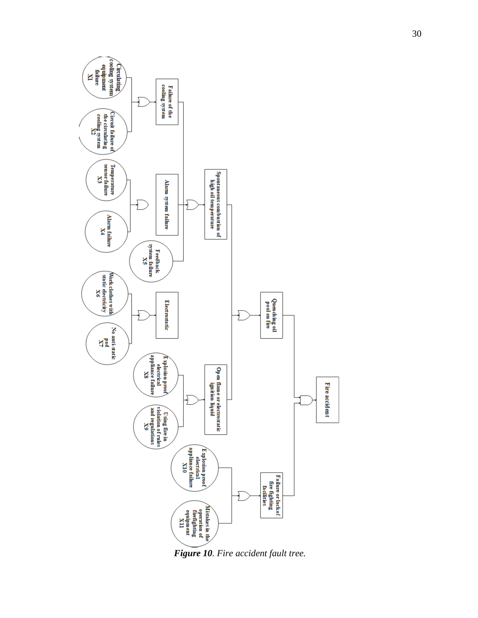

*Figure 10. Fire accident fault tree.*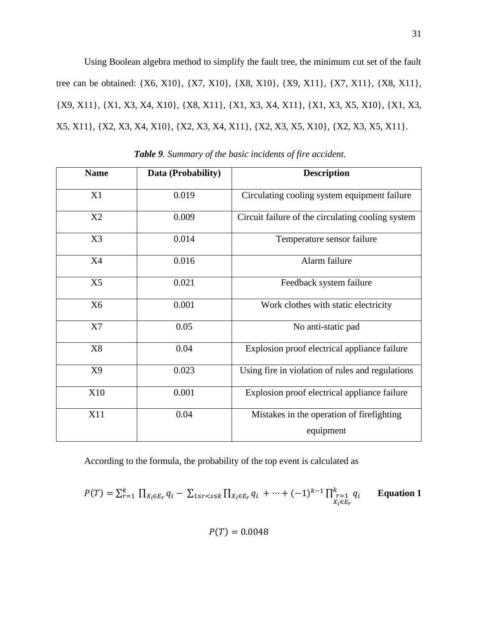Using Boolean algebra method to simplify the fault tree, the minimum cut set of the fault tree can be obtained: {X6, X10}, {X7, X10}, {X8, X10}, {X9, X11}, {X7, X11}, {X8, X11}, {X9, X11}, {X1, X3, X4, X10}, {X8, X11}, {X1, X3, X4, X11}, {X1, X3, X5, X10}, {X1, X3, X5, X11}, {X2, X3, X4, X10}, {X2, X3, X4, X11}, {X2, X3, X5, X10}, {X2, X3, X5, X11}.

| <b>Name</b>    | Data (Probability) | <b>Description</b>                                |
|----------------|--------------------|---------------------------------------------------|
|                |                    |                                                   |
| X1             | 0.019              | Circulating cooling system equipment failure      |
| X2             | 0.009              | Circuit failure of the circulating cooling system |
| X3             | 0.014              | Temperature sensor failure                        |
| <b>X4</b>      | 0.016              | Alarm failure                                     |
| X <sub>5</sub> | 0.021              | Feedback system failure                           |
| X <sub>6</sub> | 0.001              | Work clothes with static electricity              |
| X7             | 0.05               | No anti-static pad                                |
| X <sub>8</sub> | 0.04               | Explosion proof electrical appliance failure      |
| X9             | 0.023              | Using fire in violation of rules and regulations  |
| X10            | 0.001              | Explosion proof electrical appliance failure      |
| X11            | 0.04               | Mistakes in the operation of firefighting         |
|                |                    | equipment                                         |

*Table 9. Summary of the basic incidents of fire accident.*

According to the formula, the probability of the top event is calculated as

$$
P(T) = \sum_{r=1}^{k} \prod_{X_i \in E_r} q_i - \sum_{1 \le r < s \le k} \prod_{X_i \in E_r} q_i + \dots + (-1)^{k-1} \prod_{\substack{r=1 \\ X_i \in E_r}}^k q_i
$$
 Equation 1

 $P(T) = 0.0048$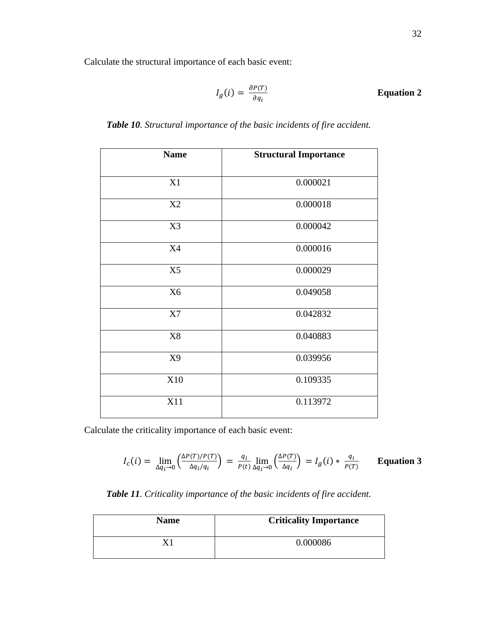Calculate the structural importance of each basic event:

$$
I_g(i) = \frac{\partial P(T)}{\partial q_i}
$$
 Equation 2

| <b>Name</b>    | <b>Structural Importance</b> |  |  |
|----------------|------------------------------|--|--|
| X1             | 0.000021                     |  |  |
| X2             | 0.000018                     |  |  |
| X3             | 0.000042                     |  |  |
| <b>X4</b>      | 0.000016                     |  |  |
| X5             | 0.000029                     |  |  |
| X <sub>6</sub> | 0.049058                     |  |  |
| X7             | 0.042832                     |  |  |
| $\rm X8$       | 0.040883                     |  |  |
| X9             | 0.039956                     |  |  |
| X10            | 0.109335                     |  |  |
| X11            | 0.113972                     |  |  |

*Table 10. Structural importance of the basic incidents of fire accident.*

Calculate the criticality importance of each basic event:

$$
I_c(i) = \lim_{\Delta q_i \to 0} \left( \frac{\Delta P(T)/P(T)}{\Delta q_i/q_i} \right) = \frac{q_i}{P(t)} \lim_{\Delta q_i \to 0} \left( \frac{\Delta P(T)}{\Delta q_i} \right) = I_g(i) * \frac{q_i}{P(T)} \qquad \text{Equation 3}
$$

*Table 11. Criticality importance of the basic incidents of fire accident.*

| <b>Name</b> | <b>Criticality Importance</b> |
|-------------|-------------------------------|
|             | 0.000086                      |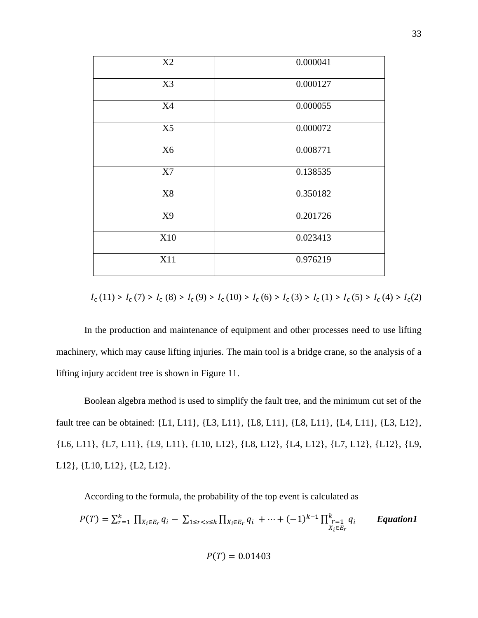| X2             | 0.000041 |
|----------------|----------|
| X3             | 0.000127 |
| X4             | 0.000055 |
| X5             | 0.000072 |
| X <sub>6</sub> | 0.008771 |
| X7             | 0.138535 |
| $\rm X8$       | 0.350182 |
| X9             | 0.201726 |
| X10            | 0.023413 |
| X11            | 0.976219 |

$$
I_{\rm c}(11) > I_{\rm c}(7) > I_{\rm c}(8) > I_{\rm c}(9) > I_{\rm c}(10) > I_{\rm c}(6) > I_{\rm c}(3) > I_{\rm c}(1) > I_{\rm c}(5) > I_{\rm c}(4) > I_{\rm c}(2)
$$

In the production and maintenance of equipment and other processes need to use lifting machinery, which may cause lifting injuries. The main tool is a bridge crane, so the analysis of a lifting injury accident tree is shown in Figure 11.

Boolean algebra method is used to simplify the fault tree, and the minimum cut set of the fault tree can be obtained: {L1, L11}, {L3, L11}, {L8, L11}, {L8, L11}, {L4, L11}, {L3, L12}, {L6, L11}, {L7, L11}, {L9, L11}, {L10, L12}, {L8, L12}, {L4, L12}, {L7, L12}, {L12}, {L9, L12}, {L10, L12}, {L2, L12}.

According to the formula, the probability of the top event is calculated as

$$
P(T) = \sum_{r=1}^{k} \prod_{X_i \in E_r} q_i - \sum_{1 \leq r < s \leq k} \prod_{X_i \in E_r} q_i + \dots + (-1)^{k-1} \prod_{\substack{X_i \in E_r \\ X_i \in E_r}}^{k} q_i
$$
 *Equation 1*

$$
P(T)=0.01403
$$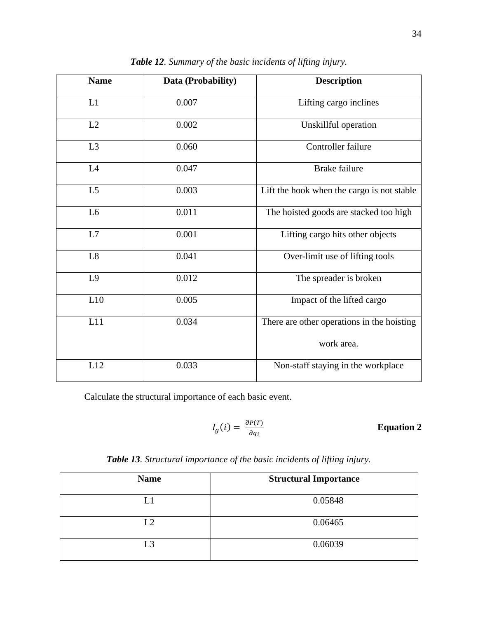| <b>Name</b>    | Data (Probability) | <b>Description</b>                         |  |
|----------------|--------------------|--------------------------------------------|--|
| L1             | 0.007              | Lifting cargo inclines                     |  |
| L2             | 0.002              | Unskillful operation                       |  |
| L <sub>3</sub> | 0.060              | Controller failure                         |  |
| L4             | 0.047              | <b>Brake failure</b>                       |  |
| L <sub>5</sub> | 0.003              | Lift the hook when the cargo is not stable |  |
| L <sub>6</sub> | 0.011              | The hoisted goods are stacked too high     |  |
| L7             | 0.001              | Lifting cargo hits other objects           |  |
| L8             | 0.041              | Over-limit use of lifting tools            |  |
| L9             | 0.012              | The spreader is broken                     |  |
| L10            | 0.005              | Impact of the lifted cargo                 |  |
| L11            | 0.034              | There are other operations in the hoisting |  |
|                |                    | work area.                                 |  |
| L12            | 0.033              | Non-staff staying in the workplace         |  |

*Table 12. Summary of the basic incidents of lifting injury.*

Calculate the structural importance of each basic event.

$$
I_g(i) = \frac{\partial P(T)}{\partial q_i}
$$
 Equation 2

| Table 13. Structural importance of the basic incidents of lifting injury. |  |  |  |  |  |  |
|---------------------------------------------------------------------------|--|--|--|--|--|--|
|---------------------------------------------------------------------------|--|--|--|--|--|--|

| <b>Name</b> | <b>Structural Importance</b> |  |  |
|-------------|------------------------------|--|--|
| L1          | 0.05848                      |  |  |
| L2          | 0.06465                      |  |  |
| L3          | 0.06039                      |  |  |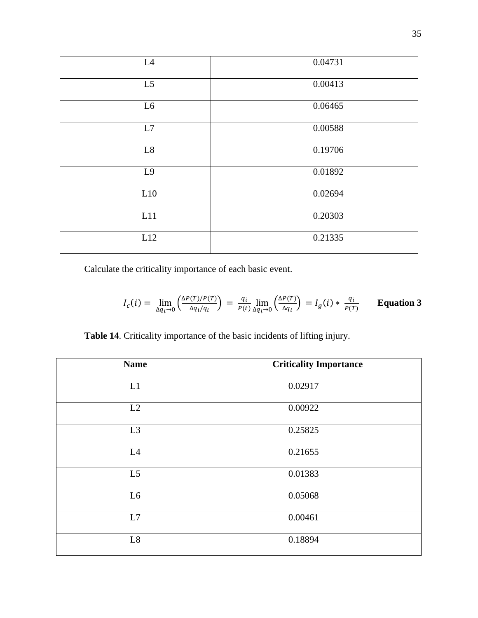| L4             | 0.04731 |
|----------------|---------|
| L <sub>5</sub> | 0.00413 |
| L6             | 0.06465 |
| L7             | 0.00588 |
| L8             | 0.19706 |
| L <sub>9</sub> | 0.01892 |
| L10            | 0.02694 |
| L11            | 0.20303 |
| L12            | 0.21335 |

Calculate the criticality importance of each basic event.

$$
I_c(i) = \lim_{\Delta q_i \to 0} \left( \frac{\Delta P(T)/P(T)}{\Delta q_i/q_i} \right) = \frac{q_i}{P(t)} \lim_{\Delta q_i \to 0} \left( \frac{\Delta P(T)}{\Delta q_i} \right) = I_g(i) * \frac{q_i}{P(T)} \qquad \text{Equation 3}
$$

**Table 14**. Criticality importance of the basic incidents of lifting injury.

| <b>Name</b>    | <b>Criticality Importance</b> |
|----------------|-------------------------------|
| L1             | 0.02917                       |
| L2             | 0.00922                       |
| L <sub>3</sub> | 0.25825                       |
| L4             | 0.21655                       |
| L <sub>5</sub> | 0.01383                       |
| L <sub>6</sub> | 0.05068                       |
| L7             | 0.00461                       |
| $\rm L8$       | 0.18894                       |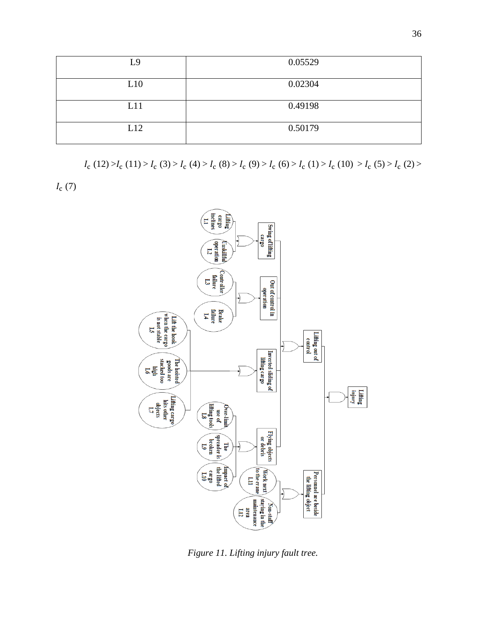| L9  | 0.05529 |
|-----|---------|
| L10 | 0.02304 |
| L11 | 0.49198 |
| L12 | 0.50179 |

 $I_c(12) > I_c(11) > I_c(3) > I_c(4) > I_c(8) > I_c(9) > I_c(6) > I_c(1) > I_c(10) > I_c(5) > I_c(2) > I_c(10)$ 

 $I_c(7)$ 



*Figure 11. Lifting injury fault tree.*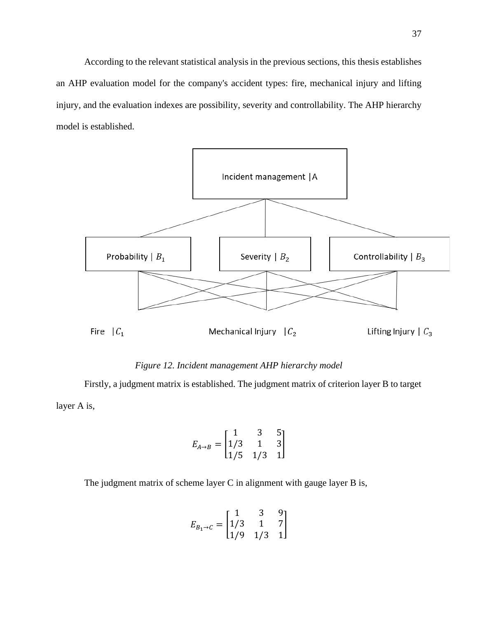According to the relevant statistical analysis in the previous sections, this thesis establishes an AHP evaluation model for the company's accident types: fire, mechanical injury and lifting injury, and the evaluation indexes are possibility, severity and controllability. The AHP hierarchy model is established.



# *Figure 12. Incident management AHP hierarchy model*

Firstly, a judgment matrix is established. The judgment matrix of criterion layer B to target layer A is,

$$
E_{A \to B} = \begin{bmatrix} 1 & 3 & 5 \\ 1/3 & 1 & 3 \\ 1/5 & 1/3 & 1 \end{bmatrix}
$$

The judgment matrix of scheme layer C in alignment with gauge layer B is,

$$
E_{B_1 \to C} = \begin{bmatrix} 1 & 3 & 9 \\ 1/3 & 1 & 7 \\ 1/9 & 1/3 & 1 \end{bmatrix}
$$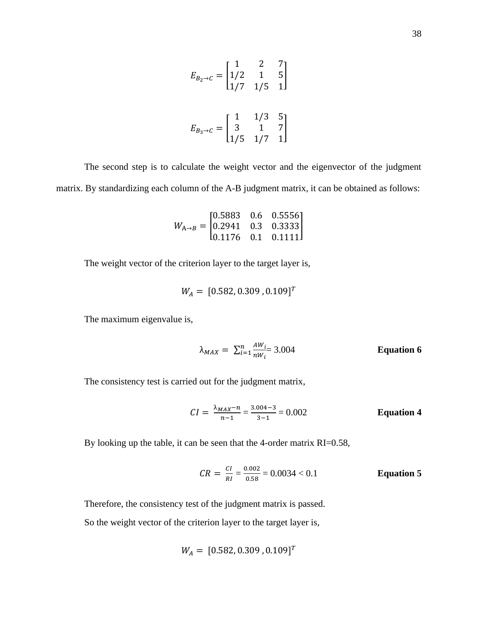$$
E_{B_2 \to C} = \begin{bmatrix} 1 & 2 & 7 \\ 1/2 & 1 & 5 \\ 1/7 & 1/5 & 1 \end{bmatrix}
$$

$$
E_{B_3 \to C} = \begin{bmatrix} 1 & 1/3 & 5 \\ 3 & 1 & 7 \\ 1/5 & 1/7 & 1 \end{bmatrix}
$$

The second step is to calculate the weight vector and the eigenvector of the judgment matrix. By standardizing each column of the A-B judgment matrix, it can be obtained as follows:

$$
W_{A \rightarrow B} = \begin{bmatrix} 0.5883 & 0.6 & 0.5556 \\ 0.2941 & 0.3 & 0.3333 \\ 0.1176 & 0.1 & 0.1111 \end{bmatrix}
$$

The weight vector of the criterion layer to the target layer is,

$$
W_A = [0.582, 0.309, 0.109]^T
$$

The maximum eigenvalue is,

$$
\lambda_{MAX} = \sum_{i=1}^{n} \frac{AW_i}{nW_i} = 3.004
$$
 Equation 6

The consistency test is carried out for the judgment matrix,

$$
CI = \frac{\lambda_{MAX} - n}{n - 1} = \frac{3.004 - 3}{3 - 1} = 0.002
$$
 Equation 4

By looking up the table, it can be seen that the 4-order matrix RI=0.58,

$$
CR = \frac{CI}{RI} = \frac{0.002}{0.58} = 0.0034 < 0.1
$$
\nEquation 5

Therefore, the consistency test of the judgment matrix is passed.

So the weight vector of the criterion layer to the target layer is,

$$
W_A = [0.582, 0.309, 0.109]^T
$$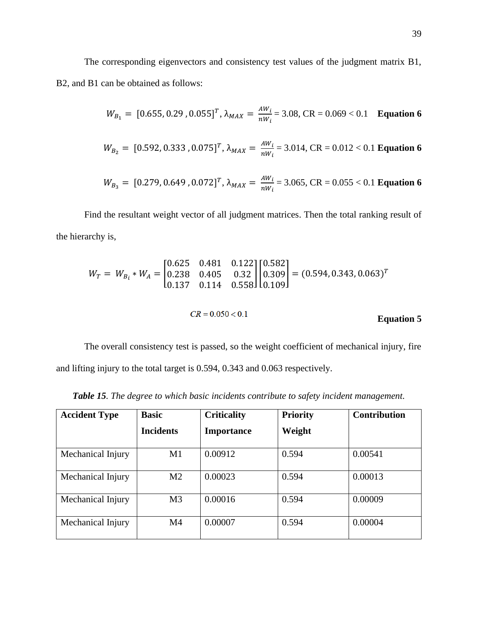The corresponding eigenvectors and consistency test values of the judgment matrix B1, B2, and B1 can be obtained as follows:

$$
W_{B_1} = [0.655, 0.29, 0.055]^T, \lambda_{MAX} = \frac{AW_i}{nW_i} = 3.08, \text{CR} = 0.069 < 0.1 \quad \text{Equation 6}
$$

$$
W_{B_2} = [0.592, 0.333, 0.075]^T
$$
,  $\lambda_{MAX} = \frac{AW_i}{nW_i} = 3.014$ , CR = 0.012 < 0.1 Equation 6

$$
W_{B_3} = [0.279, 0.649, 0.072]^T
$$
,  $\lambda_{MAX} = \frac{AW_i}{nW_i} = 3.065$ , CR = 0.055 < 0.1 Equation 6

Find the resultant weight vector of all judgment matrices. Then the total ranking result of the hierarchy is,

$$
W_T = W_{B_i} * W_A = \begin{bmatrix} 0.625 & 0.481 & 0.122 \\ 0.238 & 0.405 & 0.32 \\ 0.137 & 0.114 & 0.558 \end{bmatrix} \begin{bmatrix} 0.582 \\ 0.309 \\ 0.109 \end{bmatrix} = (0.594, 0.343, 0.063)^T
$$
  

$$
CR = 0.050 < 0.1
$$
 Equation 5

The overall consistency test is passed, so the weight coefficient of mechanical injury, fire and lifting injury to the total target is 0.594, 0.343 and 0.063 respectively.

*Table 15. The degree to which basic incidents contribute to safety incident management.*

| <b>Accident Type</b> | <b>Basic</b>     | <b>Criticality</b> | <b>Priority</b> | <b>Contribution</b> |
|----------------------|------------------|--------------------|-----------------|---------------------|
|                      | <b>Incidents</b> | <b>Importance</b>  | Weight          |                     |
| Mechanical Injury    | M1               | 0.00912            | 0.594           | 0.00541             |
| Mechanical Injury    | M <sub>2</sub>   | 0.00023            | 0.594           | 0.00013             |
| Mechanical Injury    | M <sub>3</sub>   | 0.00016            | 0.594           | 0.00009             |
| Mechanical Injury    | M <sub>4</sub>   | 0.00007            | 0.594           | 0.00004             |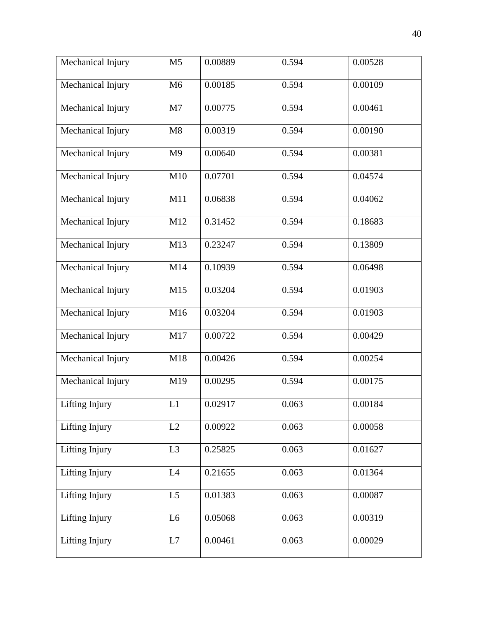| Mechanical Injury | M <sub>5</sub> | 0.00889 | 0.594 | 0.00528 |
|-------------------|----------------|---------|-------|---------|
| Mechanical Injury | M6             | 0.00185 | 0.594 | 0.00109 |
| Mechanical Injury | M7             | 0.00775 | 0.594 | 0.00461 |
| Mechanical Injury | M8             | 0.00319 | 0.594 | 0.00190 |
| Mechanical Injury | M <sub>9</sub> | 0.00640 | 0.594 | 0.00381 |
| Mechanical Injury | M10            | 0.07701 | 0.594 | 0.04574 |
| Mechanical Injury | M11            | 0.06838 | 0.594 | 0.04062 |
| Mechanical Injury | M12            | 0.31452 | 0.594 | 0.18683 |
| Mechanical Injury | M13            | 0.23247 | 0.594 | 0.13809 |
| Mechanical Injury | M14            | 0.10939 | 0.594 | 0.06498 |
| Mechanical Injury | M15            | 0.03204 | 0.594 | 0.01903 |
| Mechanical Injury | M16            | 0.03204 | 0.594 | 0.01903 |
| Mechanical Injury | M17            | 0.00722 | 0.594 | 0.00429 |
| Mechanical Injury | M18            | 0.00426 | 0.594 | 0.00254 |
| Mechanical Injury | M19            | 0.00295 | 0.594 | 0.00175 |
| Lifting Injury    | L1             | 0.02917 | 0.063 | 0.00184 |
| Lifting Injury    | L2             | 0.00922 | 0.063 | 0.00058 |
| Lifting Injury    | L <sub>3</sub> | 0.25825 | 0.063 | 0.01627 |
| Lifting Injury    | L4             | 0.21655 | 0.063 | 0.01364 |
| Lifting Injury    | L <sub>5</sub> | 0.01383 | 0.063 | 0.00087 |
| Lifting Injury    | L6             | 0.05068 | 0.063 | 0.00319 |
| Lifting Injury    | L7             | 0.00461 | 0.063 | 0.00029 |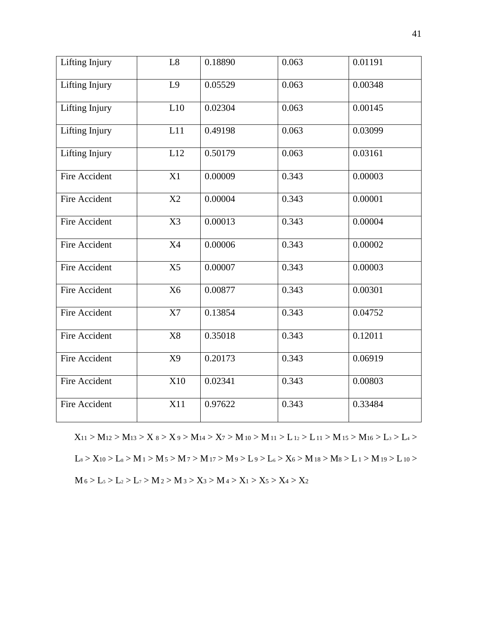| Lifting Injury       | L8             | 0.18890 | 0.063 | 0.01191 |
|----------------------|----------------|---------|-------|---------|
| Lifting Injury       | L9             | 0.05529 | 0.063 | 0.00348 |
| Lifting Injury       | L10            | 0.02304 | 0.063 | 0.00145 |
| Lifting Injury       | L11            | 0.49198 | 0.063 | 0.03099 |
| Lifting Injury       | L12            | 0.50179 | 0.063 | 0.03161 |
| Fire Accident        | X1             | 0.00009 | 0.343 | 0.00003 |
| Fire Accident        | X2             | 0.00004 | 0.343 | 0.00001 |
| <b>Fire Accident</b> | X3             | 0.00013 | 0.343 | 0.00004 |
| Fire Accident        | <b>X4</b>      | 0.00006 | 0.343 | 0.00002 |
| <b>Fire Accident</b> | X <sub>5</sub> | 0.00007 | 0.343 | 0.00003 |
| <b>Fire Accident</b> | X <sub>6</sub> | 0.00877 | 0.343 | 0.00301 |
| <b>Fire Accident</b> | X7             | 0.13854 | 0.343 | 0.04752 |
| <b>Fire Accident</b> | X8             | 0.35018 | 0.343 | 0.12011 |
| <b>Fire Accident</b> | X9             | 0.20173 | 0.343 | 0.06919 |
| <b>Fire Accident</b> | X10            | 0.02341 | 0.343 | 0.00803 |
| <b>Fire Accident</b> | X11            | 0.97622 | 0.343 | 0.33484 |

 $X_{11} > M_{12} > M_{13} > X_8 > X_9 > M_{14} > X_7 > M_{10} > M_{11} > L_{12} > L_{11} > M_{15} > M_{16} > L_3 > L_4 >$  $L_8 > X_{10} > L_8 > M_1 > M_5 > M_7 > M_{17} > M_9 > L_9 > L_6 > X_6 > M_{18} > M_8 > L_1 > M_{19} > L_{10} >$  $M_6 > L_5 > L_2 > L_7 > M_2 > M_3 > X_3 > M_4 > X_1 > X_5 > X_4 > X_2$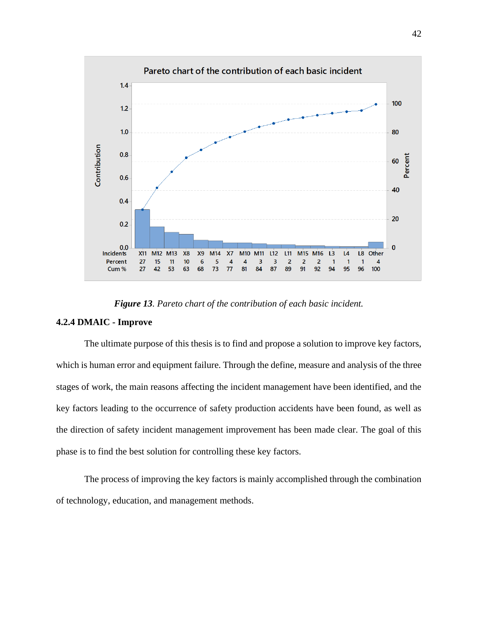

*Figure 13. Pareto chart of the contribution of each basic incident.*

# **4.2.4 DMAIC - Improve**

The ultimate purpose of this thesis is to find and propose a solution to improve key factors, which is human error and equipment failure. Through the define, measure and analysis of the three stages of work, the main reasons affecting the incident management have been identified, and the key factors leading to the occurrence of safety production accidents have been found, as well as the direction of safety incident management improvement has been made clear. The goal of this phase is to find the best solution for controlling these key factors.

The process of improving the key factors is mainly accomplished through the combination of technology, education, and management methods.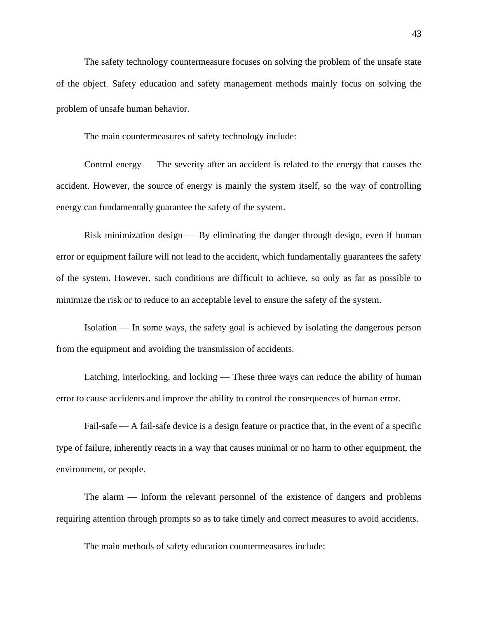The safety technology countermeasure focuses on solving the problem of the unsafe state of the object. Safety education and safety management methods mainly focus on solving the problem of unsafe human behavior.

The main countermeasures of safety technology include:

Control energy — The severity after an accident is related to the energy that causes the accident. However, the source of energy is mainly the system itself, so the way of controlling energy can fundamentally guarantee the safety of the system.

Risk minimization design — By eliminating the danger through design, even if human error or equipment failure will not lead to the accident, which fundamentally guarantees the safety of the system. However, such conditions are difficult to achieve, so only as far as possible to minimize the risk or to reduce to an acceptable level to ensure the safety of the system.

Isolation — In some ways, the safety goal is achieved by isolating the dangerous person from the equipment and avoiding the transmission of accidents.

Latching, interlocking, and locking — These three ways can reduce the ability of human error to cause accidents and improve the ability to control the consequences of human error.

Fail-safe — A fail-safe device is a design feature or practice that, in the event of a specific type of failure, inherently reacts in a way that causes minimal or no harm to other equipment, the environment, or people.

The alarm — Inform the relevant personnel of the existence of dangers and problems requiring attention through prompts so as to take timely and correct measures to avoid accidents.

The main methods of safety education countermeasures include: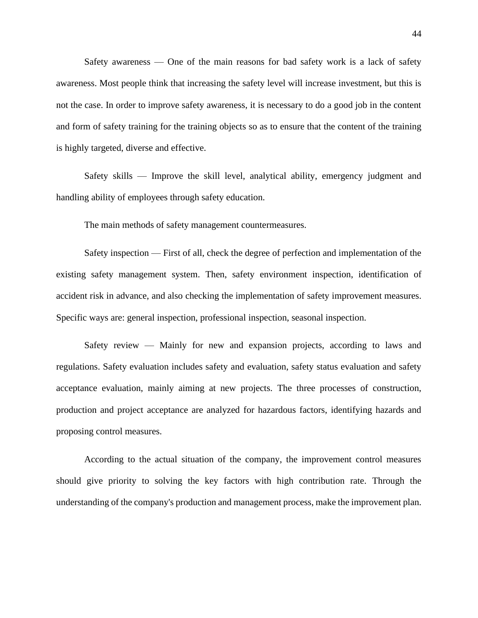Safety awareness — One of the main reasons for bad safety work is a lack of safety awareness. Most people think that increasing the safety level will increase investment, but this is not the case. In order to improve safety awareness, it is necessary to do a good job in the content and form of safety training for the training objects so as to ensure that the content of the training is highly targeted, diverse and effective.

Safety skills — Improve the skill level, analytical ability, emergency judgment and handling ability of employees through safety education.

The main methods of safety management countermeasures.

Safety inspection — First of all, check the degree of perfection and implementation of the existing safety management system. Then, safety environment inspection, identification of accident risk in advance, and also checking the implementation of safety improvement measures. Specific ways are: general inspection, professional inspection, seasonal inspection.

Safety review — Mainly for new and expansion projects, according to laws and regulations. Safety evaluation includes safety and evaluation, safety status evaluation and safety acceptance evaluation, mainly aiming at new projects. The three processes of construction, production and project acceptance are analyzed for hazardous factors, identifying hazards and proposing control measures.

According to the actual situation of the company, the improvement control measures should give priority to solving the key factors with high contribution rate. Through the understanding of the company's production and management process, make the improvement plan.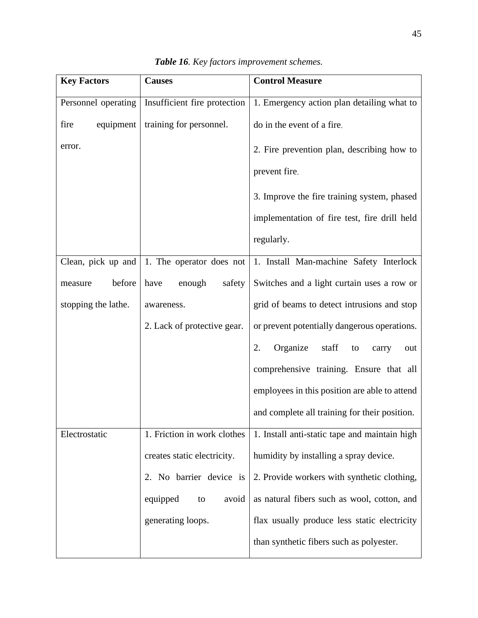| <b>Key Factors</b>  | <b>Causes</b>                | <b>Control Measure</b>                        |
|---------------------|------------------------------|-----------------------------------------------|
| Personnel operating | Insufficient fire protection | 1. Emergency action plan detailing what to    |
| fire<br>equipment   | training for personnel.      | do in the event of a fire.                    |
| error.              |                              | 2. Fire prevention plan, describing how to    |
|                     |                              | prevent fire.                                 |
|                     |                              | 3. Improve the fire training system, phased   |
|                     |                              | implementation of fire test, fire drill held  |
|                     |                              | regularly.                                    |
| Clean, pick up and  | 1. The operator does not     | 1. Install Man-machine Safety Interlock       |
| before<br>measure   | enough<br>have<br>safety     | Switches and a light curtain uses a row or    |
| stopping the lathe. | awareness.                   | grid of beams to detect intrusions and stop   |
|                     | 2. Lack of protective gear.  | or prevent potentially dangerous operations.  |
|                     |                              | Organize<br>2.<br>staff<br>to<br>carry<br>out |
|                     |                              | comprehensive training. Ensure that all       |
|                     |                              | employees in this position are able to attend |
|                     |                              | and complete all training for their position. |
| Electrostatic       | 1. Friction in work clothes  | 1. Install anti-static tape and maintain high |
|                     | creates static electricity.  | humidity by installing a spray device.        |
|                     | 2. No barrier device is      | 2. Provide workers with synthetic clothing,   |
|                     | equipped<br>avoid<br>to      | as natural fibers such as wool, cotton, and   |
|                     | generating loops.            | flax usually produce less static electricity  |
|                     |                              | than synthetic fibers such as polyester.      |

|  | Table 16. Key factors improvement schemes. |  |
|--|--------------------------------------------|--|
|  |                                            |  |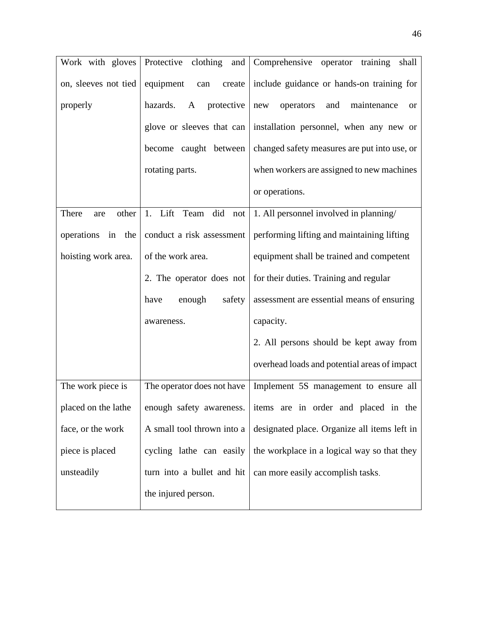| Work with gloves      | Protective clothing<br>and  | Comprehensive operator training<br>shall                            |
|-----------------------|-----------------------------|---------------------------------------------------------------------|
| on, sleeves not tied  | equipment<br>create<br>can  | include guidance or hands-on training for                           |
| properly              | hazards.<br>protective<br>A | operators<br>and<br>maintenance<br>new<br>or                        |
|                       |                             | glove or sleeves that can   installation personnel, when any new or |
|                       | become caught between       | changed safety measures are put into use, or                        |
|                       | rotating parts.             | when workers are assigned to new machines                           |
|                       |                             | or operations.                                                      |
| There<br>other<br>are | 1. Lift Team did not        | 1. All personnel involved in planning/                              |
| operations in the     | conduct a risk assessment   | performing lifting and maintaining lifting                          |
| hoisting work area.   | of the work area.           | equipment shall be trained and competent                            |
|                       | 2. The operator does not    | for their duties. Training and regular                              |
|                       | safety<br>have<br>enough    | assessment are essential means of ensuring                          |
|                       | awareness.                  | capacity.                                                           |
|                       |                             | 2. All persons should be kept away from                             |
|                       |                             | overhead loads and potential areas of impact                        |
| The work piece is     | The operator does not have  | Implement 5S management to ensure all                               |
| placed on the lathe   | enough safety awareness.    | items are in order and placed in the                                |
| face, or the work     | A small tool thrown into a  | designated place. Organize all items left in                        |
| piece is placed       | cycling lathe can easily    | the workplace in a logical way so that they                         |
| unsteadily            | turn into a bullet and hit  | can more easily accomplish tasks.                                   |
|                       | the injured person.         |                                                                     |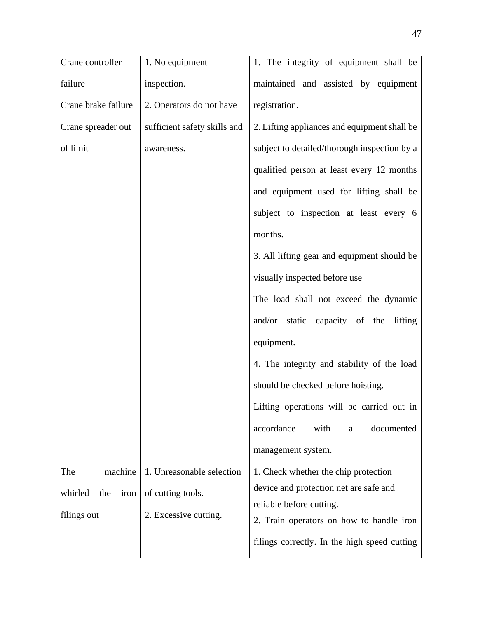| Crane controller       | 1. No equipment              | 1. The integrity of equipment shall be       |
|------------------------|------------------------------|----------------------------------------------|
| failure                | inspection.                  | maintained and assisted by equipment         |
| Crane brake failure    | 2. Operators do not have     | registration.                                |
| Crane spreader out     | sufficient safety skills and | 2. Lifting appliances and equipment shall be |
| of limit               | awareness.                   | subject to detailed/thorough inspection by a |
|                        |                              | qualified person at least every 12 months    |
|                        |                              | and equipment used for lifting shall be      |
|                        |                              | subject to inspection at least every 6       |
|                        |                              | months.                                      |
|                        |                              | 3. All lifting gear and equipment should be  |
|                        |                              | visually inspected before use                |
|                        |                              | The load shall not exceed the dynamic        |
|                        |                              | and/or static capacity of the lifting        |
|                        |                              | equipment.                                   |
|                        |                              | 4. The integrity and stability of the load   |
|                        |                              | should be checked before hoisting.           |
|                        |                              | Lifting operations will be carried out in    |
|                        |                              | accordance<br>documented<br>with<br>a        |
|                        |                              | management system.                           |
| machine<br>The         | 1. Unreasonable selection    | 1. Check whether the chip protection         |
| whirled<br>the<br>iron | of cutting tools.            | device and protection net are safe and       |
| filings out            | 2. Excessive cutting.        | reliable before cutting.                     |
|                        |                              | 2. Train operators on how to handle iron     |
|                        |                              | filings correctly. In the high speed cutting |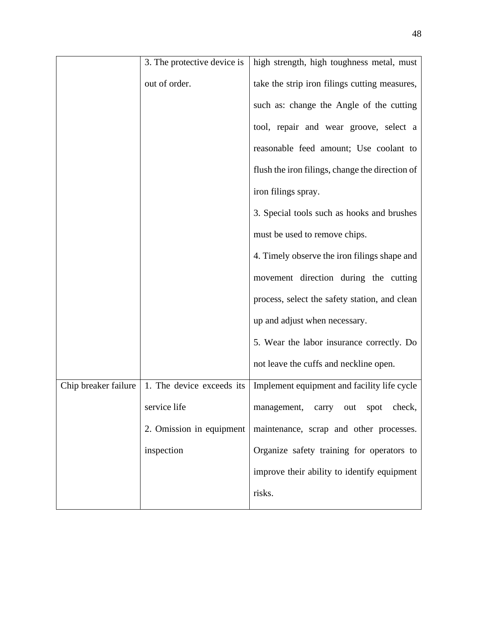|                      | 3. The protective device is | high strength, high toughness metal, must       |
|----------------------|-----------------------------|-------------------------------------------------|
|                      | out of order.               | take the strip iron filings cutting measures,   |
|                      |                             | such as: change the Angle of the cutting        |
|                      |                             | tool, repair and wear groove, select a          |
|                      |                             | reasonable feed amount; Use coolant to          |
|                      |                             | flush the iron filings, change the direction of |
|                      |                             | iron filings spray.                             |
|                      |                             | 3. Special tools such as hooks and brushes      |
|                      |                             | must be used to remove chips.                   |
|                      |                             | 4. Timely observe the iron filings shape and    |
|                      |                             | movement direction during the cutting           |
|                      |                             | process, select the safety station, and clean   |
|                      |                             | up and adjust when necessary.                   |
|                      |                             | 5. Wear the labor insurance correctly. Do       |
|                      |                             | not leave the cuffs and neckline open.          |
| Chip breaker failure | 1. The device exceeds its   | Implement equipment and facility life cycle     |
|                      | service life                | management, carry out<br>spot<br>check,         |
|                      | 2. Omission in equipment    | maintenance, scrap and other processes.         |
|                      | inspection                  | Organize safety training for operators to       |
|                      |                             | improve their ability to identify equipment     |
|                      |                             | risks.                                          |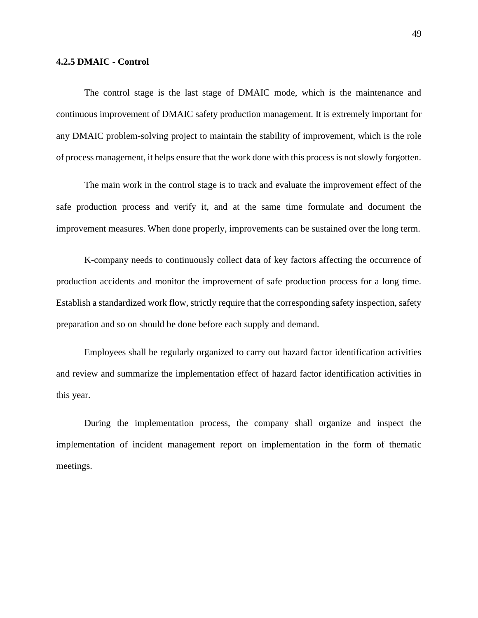## **4.2.5 DMAIC - Control**

The control stage is the last stage of DMAIC mode, which is the maintenance and continuous improvement of DMAIC safety production management. It is extremely important for any DMAIC problem-solving project to maintain the stability of improvement, which is the role of process management, it helps ensure that the work done with this process is not slowly forgotten.

The main work in the control stage is to track and evaluate the improvement effect of the safe production process and verify it, and at the same time formulate and document the improvement measures. When done properly, improvements can be sustained over the long term.

K-company needs to continuously collect data of key factors affecting the occurrence of production accidents and monitor the improvement of safe production process for a long time. Establish a standardized work flow, strictly require that the corresponding safety inspection, safety preparation and so on should be done before each supply and demand.

Employees shall be regularly organized to carry out hazard factor identification activities and review and summarize the implementation effect of hazard factor identification activities in this year.

During the implementation process, the company shall organize and inspect the implementation of incident management report on implementation in the form of thematic meetings.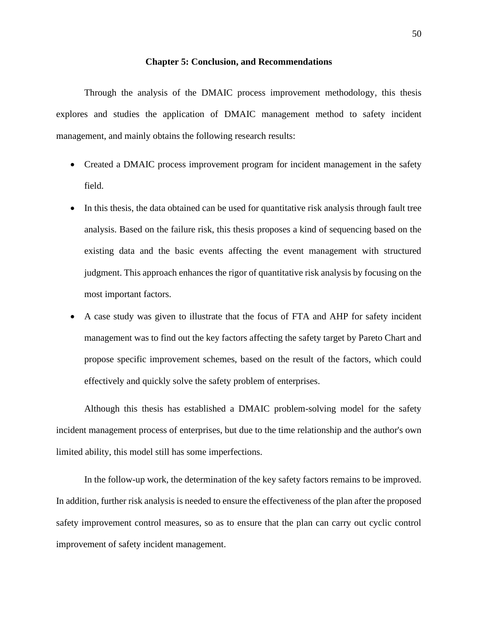#### **Chapter 5: Conclusion, and Recommendations**

<span id="page-56-0"></span>Through the analysis of the DMAIC process improvement methodology, this thesis explores and studies the application of DMAIC management method to safety incident management, and mainly obtains the following research results:

- Created a DMAIC process improvement program for incident management in the safety field.
- In this thesis, the data obtained can be used for quantitative risk analysis through fault tree analysis. Based on the failure risk, this thesis proposes a kind of sequencing based on the existing data and the basic events affecting the event management with structured judgment. This approach enhances the rigor of quantitative risk analysis by focusing on the most important factors.
- A case study was given to illustrate that the focus of FTA and AHP for safety incident management was to find out the key factors affecting the safety target by Pareto Chart and propose specific improvement schemes, based on the result of the factors, which could effectively and quickly solve the safety problem of enterprises.

Although this thesis has established a DMAIC problem-solving model for the safety incident management process of enterprises, but due to the time relationship and the author's own limited ability, this model still has some imperfections.

In the follow-up work, the determination of the key safety factors remains to be improved. In addition, further risk analysis is needed to ensure the effectiveness of the plan after the proposed safety improvement control measures, so as to ensure that the plan can carry out cyclic control improvement of safety incident management.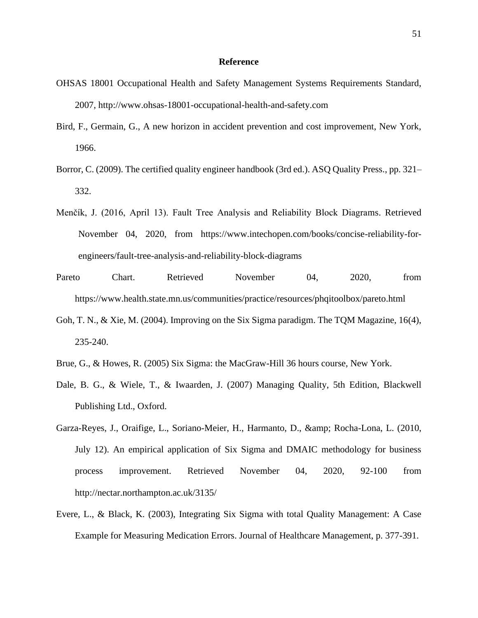#### **Reference**

- <span id="page-57-0"></span>OHSAS 18001 Occupational Health and Safety Management Systems Requirements Standard, 2007, [http://www.ohsas-18001-occupational-health-and-safety.com](http://www.ohsas-18001-occupational-health-and-safety.com/)
- Bird, F., Germain, G., A new horizon in accident prevention and cost improvement, New York, 1966.
- Borror, C. (2009). The certified quality engineer handbook (3rd ed.). ASQ Quality Press., pp. 321– 332.
- Menčík, J. (2016, April 13). Fault Tree Analysis and Reliability Block Diagrams. Retrieved November 04, 2020, from https://www.intechopen.com/books/concise-reliability-forengineers/fault-tree-analysis-and-reliability-block-diagrams
- Pareto Chart. Retrieved November 04, 2020, from https://www.health.state.mn.us/communities/practice/resources/phqitoolbox/pareto.html
- Goh, T. N., & Xie, M. (2004). Improving on the Six Sigma paradigm. The TQM Magazine, 16(4), 235-240.
- Brue, G., & Howes, R. (2005) Six Sigma: the MacGraw-Hill 36 hours course, New York.
- Dale, B. G., & Wiele, T., & Iwaarden, J. (2007) Managing Quality, 5th Edition, Blackwell Publishing Ltd., Oxford.
- Garza-Reyes, J., Oraifige, L., Soriano-Meier, H., Harmanto, D., & amp; Rocha-Lona, L. (2010, July 12). An empirical application of Six Sigma and DMAIC methodology for business process improvement. Retrieved November 04, 2020, 92-100 from http://nectar.northampton.ac.uk/3135/
- Evere, L., & Black, K. (2003), Integrating Six Sigma with total Quality Management: A Case Example for Measuring Medication Errors. Journal of Healthcare Management, p. 377-391.